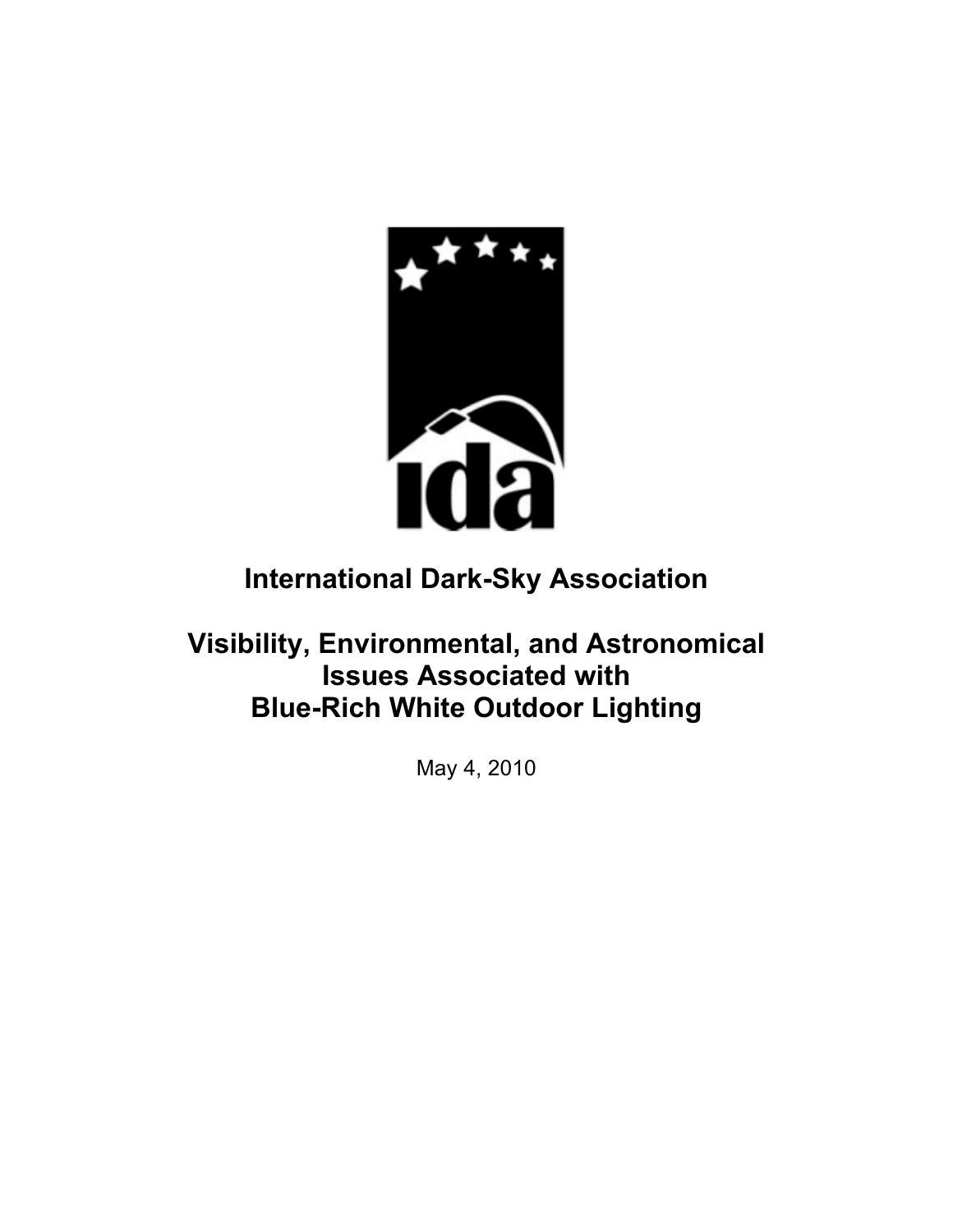

# **International Dark-Sky Association**

# **Visibility, Environmental, and Astronomical Issues Associated with Blue-Rich White Outdoor Lighting**

May 4, 2010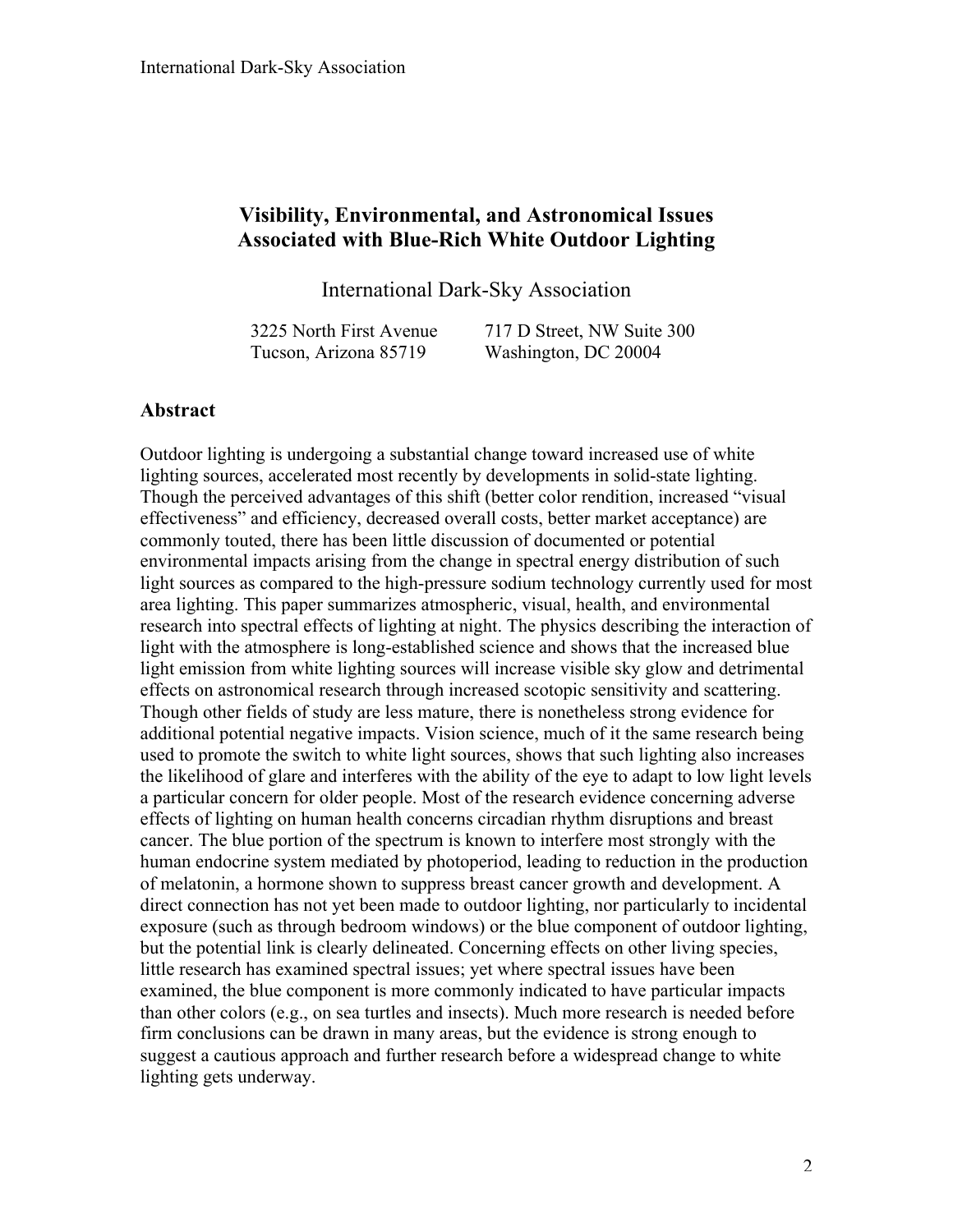## **Visibility, Environmental, and Astronomical Issues Associated with Blue-Rich White Outdoor Lighting**

International Dark-Sky Association

3225 North First Avenue Tucson, Arizona 85719

717 D Street, NW Suite 300 Washington, DC 20004

#### **Abstract**

Outdoor lighting is undergoing a substantial change toward increased use of white lighting sources, accelerated most recently by developments in solid-state lighting. Though the perceived advantages of this shift (better color rendition, increased "visual effectiveness" and efficiency, decreased overall costs, better market acceptance) are commonly touted, there has been little discussion of documented or potential environmental impacts arising from the change in spectral energy distribution of such light sources as compared to the high-pressure sodium technology currently used for most area lighting. This paper summarizes atmospheric, visual, health, and environmental research into spectral effects of lighting at night. The physics describing the interaction of light with the atmosphere is long-established science and shows that the increased blue light emission from white lighting sources will increase visible sky glow and detrimental effects on astronomical research through increased scotopic sensitivity and scattering. Though other fields of study are less mature, there is nonetheless strong evidence for additional potential negative impacts. Vision science, much of it the same research being used to promote the switch to white light sources, shows that such lighting also increases the likelihood of glare and interferes with the ability of the eye to adapt to low light levels a particular concern for older people. Most of the research evidence concerning adverse effects of lighting on human health concerns circadian rhythm disruptions and breast cancer. The blue portion of the spectrum is known to interfere most strongly with the human endocrine system mediated by photoperiod, leading to reduction in the production of melatonin, a hormone shown to suppress breast cancer growth and development. A direct connection has not yet been made to outdoor lighting, nor particularly to incidental exposure (such as through bedroom windows) or the blue component of outdoor lighting, but the potential link is clearly delineated. Concerning effects on other living species, little research has examined spectral issues; yet where spectral issues have been examined, the blue component is more commonly indicated to have particular impacts than other colors (e.g., on sea turtles and insects). Much more research is needed before firm conclusions can be drawn in many areas, but the evidence is strong enough to suggest a cautious approach and further research before a widespread change to white lighting gets underway.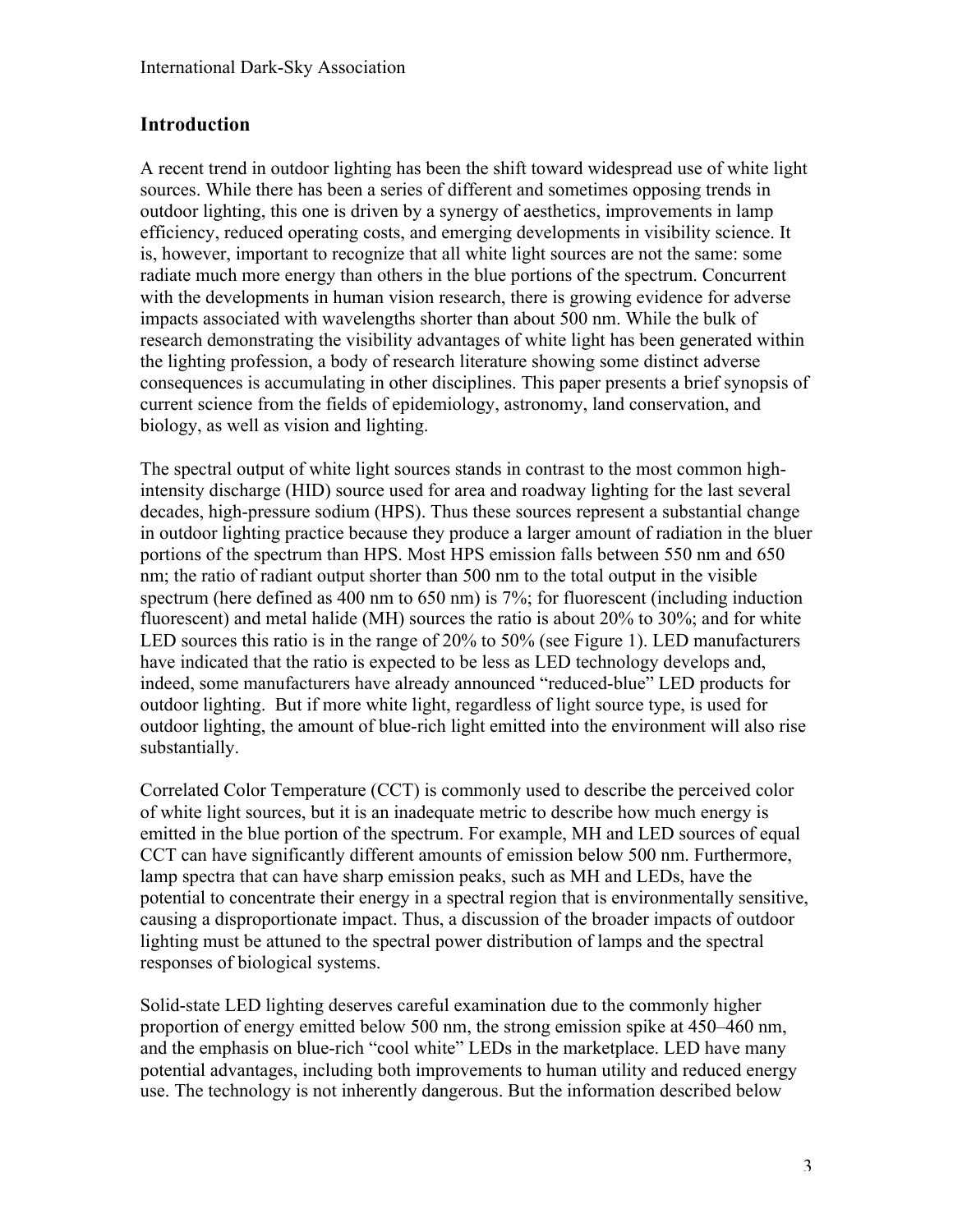## **Introduction**

A recent trend in outdoor lighting has been the shift toward widespread use of white light sources. While there has been a series of different and sometimes opposing trends in outdoor lighting, this one is driven by a synergy of aesthetics, improvements in lamp efficiency, reduced operating costs, and emerging developments in visibility science. It is, however, important to recognize that all white light sources are not the same: some radiate much more energy than others in the blue portions of the spectrum. Concurrent with the developments in human vision research, there is growing evidence for adverse impacts associated with wavelengths shorter than about 500 nm. While the bulk of research demonstrating the visibility advantages of white light has been generated within the lighting profession, a body of research literature showing some distinct adverse consequences is accumulating in other disciplines. This paper presents a brief synopsis of current science from the fields of epidemiology, astronomy, land conservation, and biology, as well as vision and lighting.

The spectral output of white light sources stands in contrast to the most common highintensity discharge (HID) source used for area and roadway lighting for the last several decades, high-pressure sodium (HPS). Thus these sources represent a substantial change in outdoor lighting practice because they produce a larger amount of radiation in the bluer portions of the spectrum than HPS. Most HPS emission falls between 550 nm and 650 nm; the ratio of radiant output shorter than 500 nm to the total output in the visible spectrum (here defined as 400 nm to 650 nm) is 7%; for fluorescent (including induction fluorescent) and metal halide (MH) sources the ratio is about 20% to 30%; and for white LED sources this ratio is in the range of 20% to 50% (see Figure 1). LED manufacturers have indicated that the ratio is expected to be less as LED technology develops and, indeed, some manufacturers have already announced "reduced-blue" LED products for outdoor lighting. But if more white light, regardless of light source type, is used for outdoor lighting, the amount of blue-rich light emitted into the environment will also rise substantially.

Correlated Color Temperature (CCT) is commonly used to describe the perceived color of white light sources, but it is an inadequate metric to describe how much energy is emitted in the blue portion of the spectrum. For example, MH and LED sources of equal CCT can have significantly different amounts of emission below 500 nm. Furthermore, lamp spectra that can have sharp emission peaks, such as MH and LEDs, have the potential to concentrate their energy in a spectral region that is environmentally sensitive, causing a disproportionate impact. Thus, a discussion of the broader impacts of outdoor lighting must be attuned to the spectral power distribution of lamps and the spectral responses of biological systems.

Solid-state LED lighting deserves careful examination due to the commonly higher proportion of energy emitted below 500 nm, the strong emission spike at 450–460 nm, and the emphasis on blue-rich "cool white" LEDs in the marketplace. LED have many potential advantages, including both improvements to human utility and reduced energy use. The technology is not inherently dangerous. But the information described below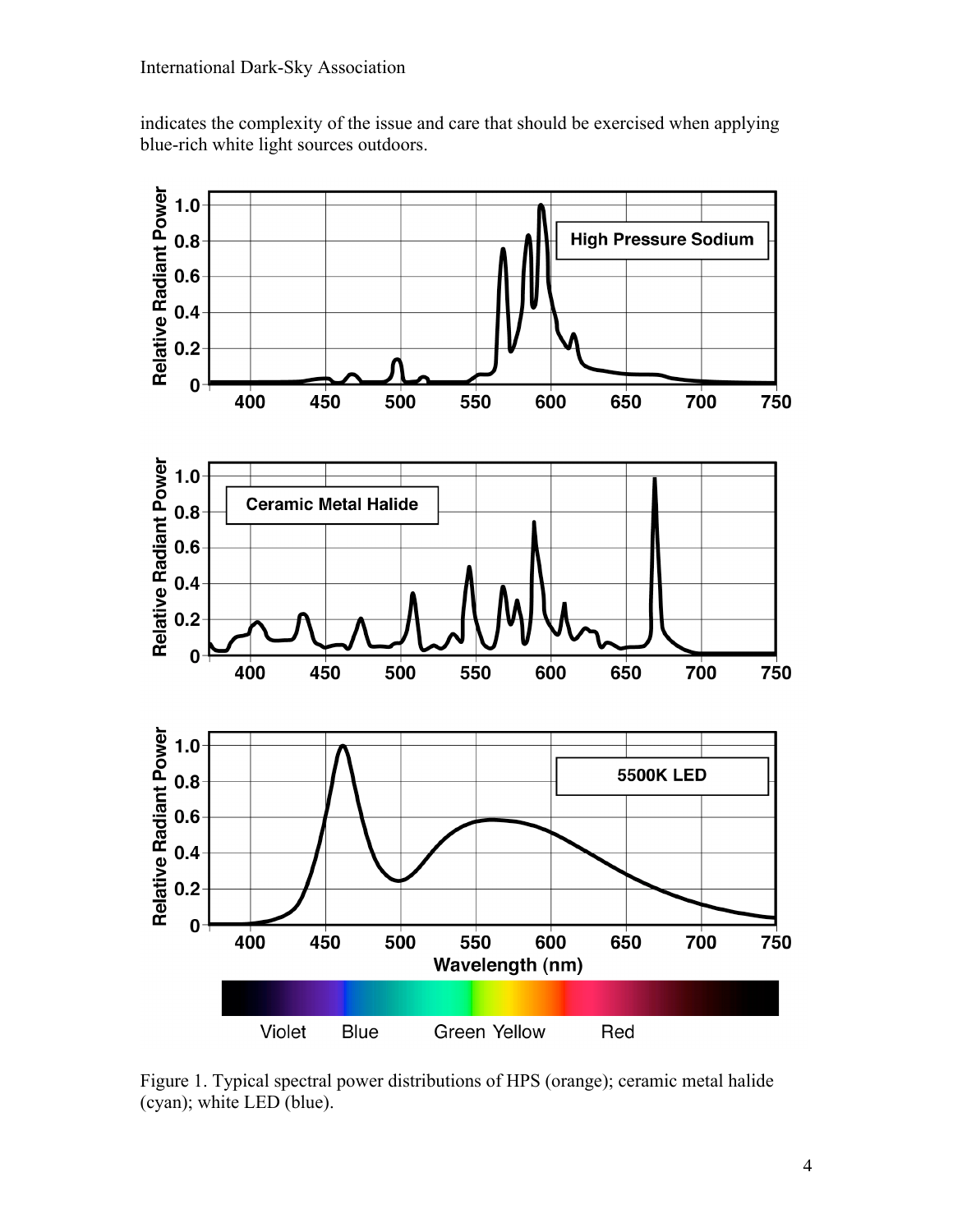indicates the complexity of the issue and care that should be exercised when applying blue-rich white light sources outdoors.



Figure 1. Typical spectral power distributions of HPS (orange); ceramic metal halide (cyan); white LED (blue).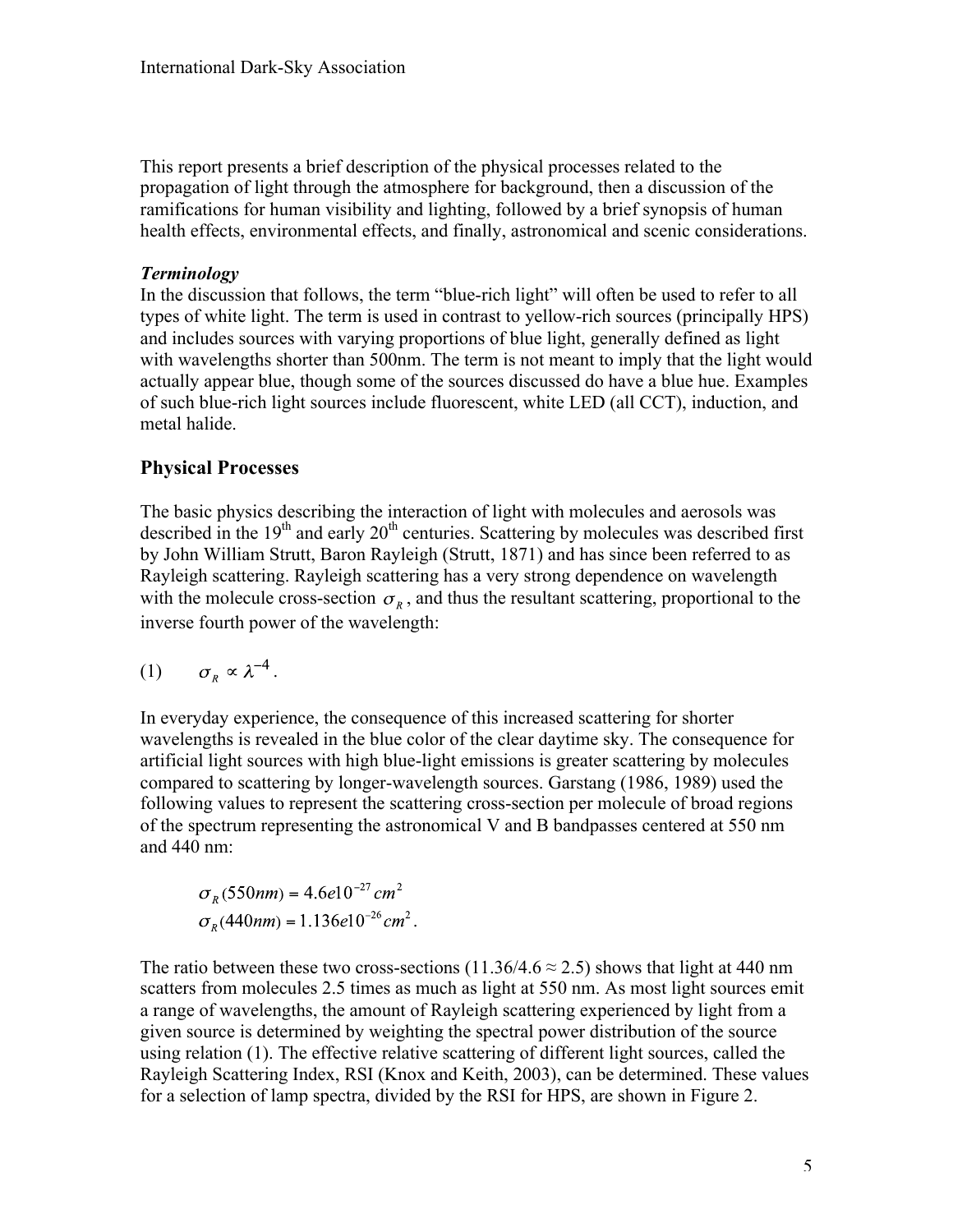This report presents a brief description of the physical processes related to the propagation of light through the atmosphere for background, then a discussion of the ramifications for human visibility and lighting, followed by a brief synopsis of human health effects, environmental effects, and finally, astronomical and scenic considerations.

#### *Terminology*

In the discussion that follows, the term "blue-rich light" will often be used to refer to all types of white light. The term is used in contrast to yellow-rich sources (principally HPS) and includes sources with varying proportions of blue light, generally defined as light with wavelengths shorter than 500nm. The term is not meant to imply that the light would actually appear blue, though some of the sources discussed do have a blue hue. Examples of such blue-rich light sources include fluorescent, white LED (all CCT), induction, and metal halide.

## **Physical Processes**

The basic physics describing the interaction of light with molecules and aerosols was described in the  $19<sup>th</sup>$  and early  $20<sup>th</sup>$  centuries. Scattering by molecules was described first by John William Strutt, Baron Rayleigh (Strutt, 1871) and has since been referred to as Rayleigh scattering. Rayleigh scattering has a very strong dependence on wavelength with the molecule cross-section  $\sigma_{\nu}$ , and thus the resultant scattering, proportional to the inverse fourth power of the wavelength:

$$
(1) \qquad \sigma_{R} \propto \lambda^{-4}.
$$

In everyday experience, the consequence of this increased scattering for shorter wavelengths is revealed in the blue color of the clear daytime sky. The consequence for artificial light sources with high blue-light emissions is greater scattering by molecules compared to scattering by longer-wavelength sources. Garstang (1986, 1989) used the following values to represent the scattering cross-section per molecule of broad regions of the spectrum representing the astronomical V and B bandpasses centered at 550 nm and 440 nm:

$$
\sigma_R (550nm) = 4.6e10^{-27} \, cm^2
$$
  

$$
\sigma_R (440nm) = 1.136e10^{-26} \, cm^2.
$$

The ratio between these two cross-sections (11.36/4.6  $\approx$  2.5) shows that light at 440 nm scatters from molecules 2.5 times as much as light at 550 nm. As most light sources emit a range of wavelengths, the amount of Rayleigh scattering experienced by light from a given source is determined by weighting the spectral power distribution of the source using relation (1). The effective relative scattering of different light sources, called the Rayleigh Scattering Index, RSI (Knox and Keith, 2003), can be determined. These values for a selection of lamp spectra, divided by the RSI for HPS, are shown in Figure 2.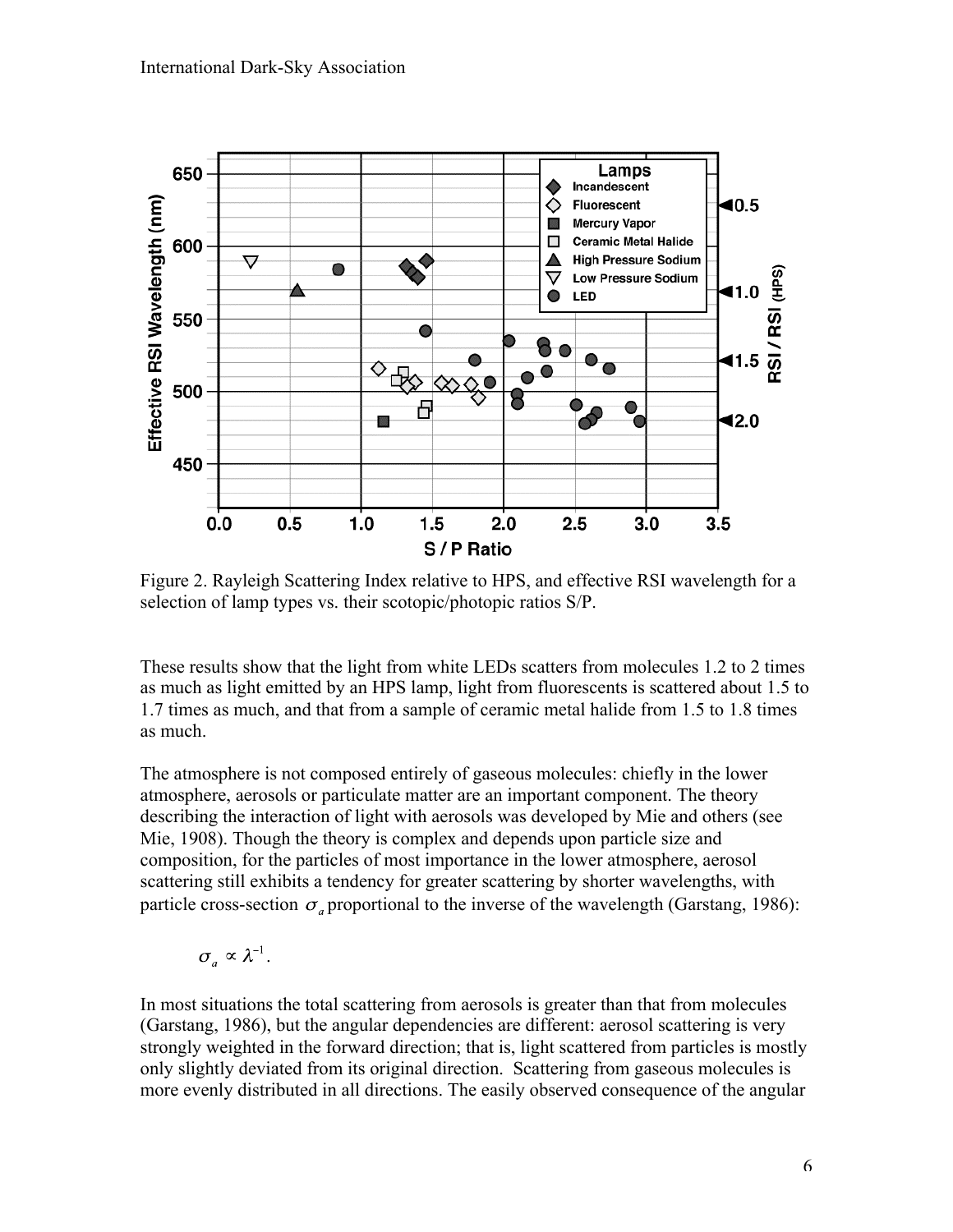

Figure 2. Rayleigh Scattering Index relative to HPS, and effective RSI wavelength for a selection of lamp types vs. their scotopic/photopic ratios S/P.

These results show that the light from white LEDs scatters from molecules 1.2 to 2 times as much as light emitted by an HPS lamp, light from fluorescents is scattered about 1.5 to 1.7 times as much, and that from a sample of ceramic metal halide from 1.5 to 1.8 times as much.

The atmosphere is not composed entirely of gaseous molecules: chiefly in the lower atmosphere, aerosols or particulate matter are an important component. The theory describing the interaction of light with aerosols was developed by Mie and others (see Mie, 1908). Though the theory is complex and depends upon particle size and composition, for the particles of most importance in the lower atmosphere, aerosol scattering still exhibits a tendency for greater scattering by shorter wavelengths, with particle cross-section  $\sigma_{\alpha}$  proportional to the inverse of the wavelength (Garstang, 1986):

$$
\sigma_a \propto \lambda^{-1}.
$$

In most situations the total scattering from aerosols is greater than that from molecules (Garstang, 1986), but the angular dependencies are different: aerosol scattering is very strongly weighted in the forward direction; that is, light scattered from particles is mostly only slightly deviated from its original direction. Scattering from gaseous molecules is more evenly distributed in all directions. The easily observed consequence of the angular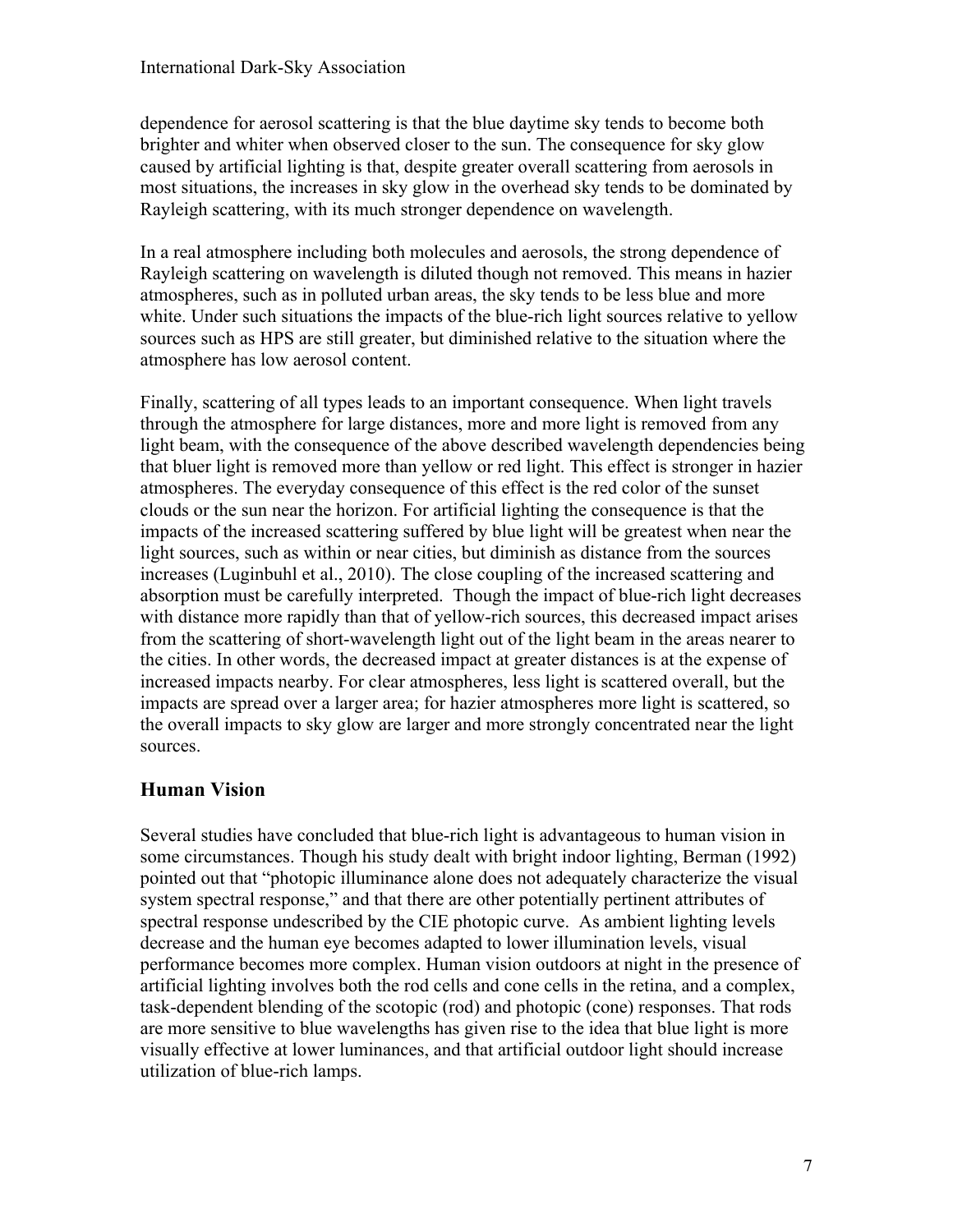dependence for aerosol scattering is that the blue daytime sky tends to become both brighter and whiter when observed closer to the sun. The consequence for sky glow caused by artificial lighting is that, despite greater overall scattering from aerosols in most situations, the increases in sky glow in the overhead sky tends to be dominated by Rayleigh scattering, with its much stronger dependence on wavelength.

In a real atmosphere including both molecules and aerosols, the strong dependence of Rayleigh scattering on wavelength is diluted though not removed. This means in hazier atmospheres, such as in polluted urban areas, the sky tends to be less blue and more white. Under such situations the impacts of the blue-rich light sources relative to yellow sources such as HPS are still greater, but diminished relative to the situation where the atmosphere has low aerosol content.

Finally, scattering of all types leads to an important consequence. When light travels through the atmosphere for large distances, more and more light is removed from any light beam, with the consequence of the above described wavelength dependencies being that bluer light is removed more than yellow or red light. This effect is stronger in hazier atmospheres. The everyday consequence of this effect is the red color of the sunset clouds or the sun near the horizon. For artificial lighting the consequence is that the impacts of the increased scattering suffered by blue light will be greatest when near the light sources, such as within or near cities, but diminish as distance from the sources increases (Luginbuhl et al., 2010). The close coupling of the increased scattering and absorption must be carefully interpreted. Though the impact of blue-rich light decreases with distance more rapidly than that of yellow-rich sources, this decreased impact arises from the scattering of short-wavelength light out of the light beam in the areas nearer to the cities. In other words, the decreased impact at greater distances is at the expense of increased impacts nearby. For clear atmospheres, less light is scattered overall, but the impacts are spread over a larger area; for hazier atmospheres more light is scattered, so the overall impacts to sky glow are larger and more strongly concentrated near the light sources.

## **Human Vision**

Several studies have concluded that blue-rich light is advantageous to human vision in some circumstances. Though his study dealt with bright indoor lighting, Berman (1992) pointed out that "photopic illuminance alone does not adequately characterize the visual system spectral response," and that there are other potentially pertinent attributes of spectral response undescribed by the CIE photopic curve. As ambient lighting levels decrease and the human eye becomes adapted to lower illumination levels, visual performance becomes more complex. Human vision outdoors at night in the presence of artificial lighting involves both the rod cells and cone cells in the retina, and a complex, task-dependent blending of the scotopic (rod) and photopic (cone) responses. That rods are more sensitive to blue wavelengths has given rise to the idea that blue light is more visually effective at lower luminances, and that artificial outdoor light should increase utilization of blue-rich lamps.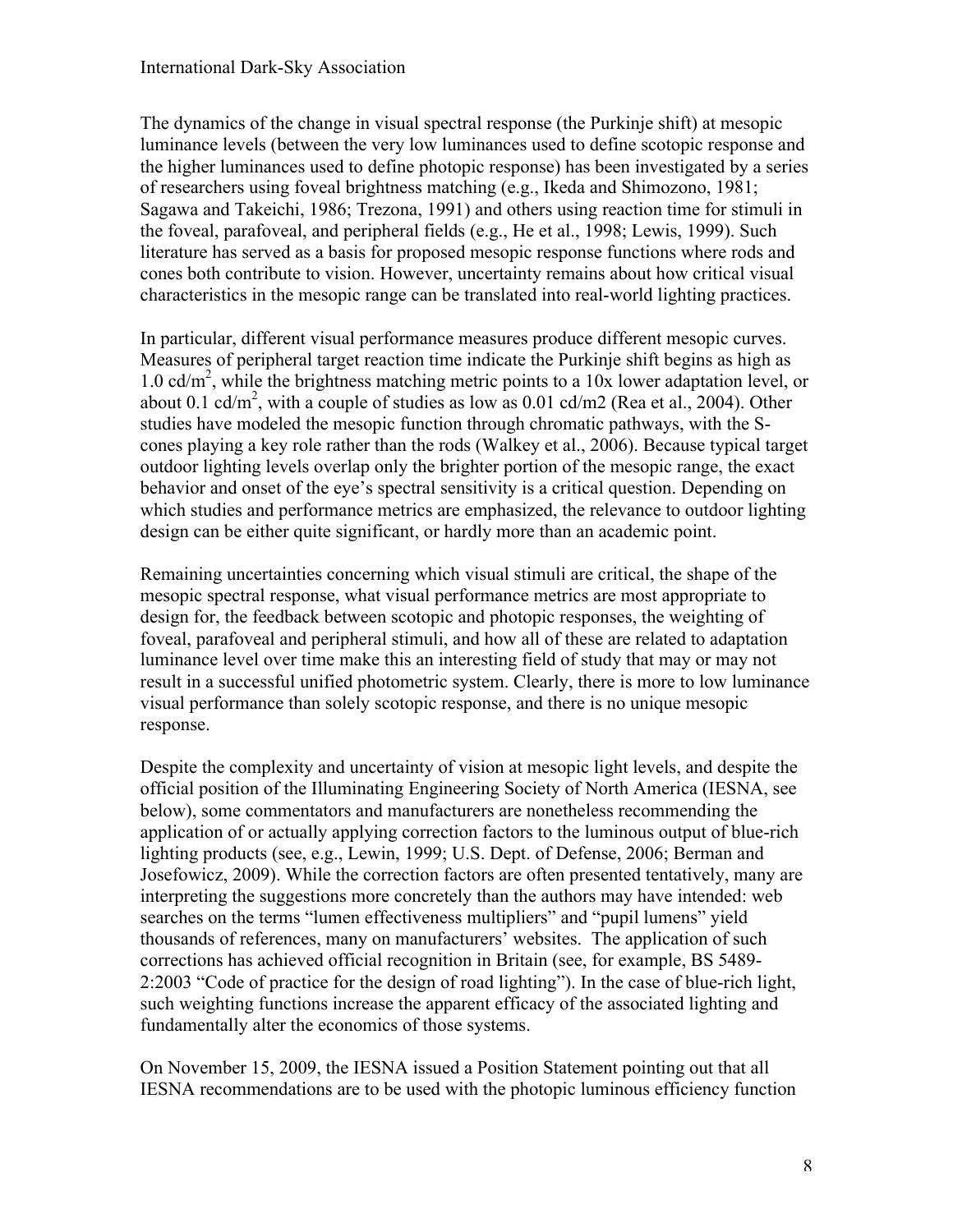The dynamics of the change in visual spectral response (the Purkinje shift) at mesopic luminance levels (between the very low luminances used to define scotopic response and the higher luminances used to define photopic response) has been investigated by a series of researchers using foveal brightness matching (e.g., Ikeda and Shimozono, 1981; Sagawa and Takeichi, 1986; Trezona, 1991) and others using reaction time for stimuli in the foveal, parafoveal, and peripheral fields (e.g., He et al., 1998; Lewis, 1999). Such literature has served as a basis for proposed mesopic response functions where rods and cones both contribute to vision. However, uncertainty remains about how critical visual characteristics in the mesopic range can be translated into real-world lighting practices.

In particular, different visual performance measures produce different mesopic curves. Measures of peripheral target reaction time indicate the Purkinje shift begins as high as 1.0 cd/m<sup>2</sup>, while the brightness matching metric points to a 10x lower adaptation level, or about 0.1 cd/m<sup>2</sup>, with a couple of studies as low as 0.01 cd/m2 (Rea et al., 2004). Other studies have modeled the mesopic function through chromatic pathways, with the Scones playing a key role rather than the rods (Walkey et al., 2006). Because typical target outdoor lighting levels overlap only the brighter portion of the mesopic range, the exact behavior and onset of the eye's spectral sensitivity is a critical question. Depending on which studies and performance metrics are emphasized, the relevance to outdoor lighting design can be either quite significant, or hardly more than an academic point.

Remaining uncertainties concerning which visual stimuli are critical, the shape of the mesopic spectral response, what visual performance metrics are most appropriate to design for, the feedback between scotopic and photopic responses, the weighting of foveal, parafoveal and peripheral stimuli, and how all of these are related to adaptation luminance level over time make this an interesting field of study that may or may not result in a successful unified photometric system. Clearly, there is more to low luminance visual performance than solely scotopic response, and there is no unique mesopic response.

Despite the complexity and uncertainty of vision at mesopic light levels, and despite the official position of the Illuminating Engineering Society of North America (IESNA, see below), some commentators and manufacturers are nonetheless recommending the application of or actually applying correction factors to the luminous output of blue-rich lighting products (see, e.g., Lewin, 1999; U.S. Dept. of Defense, 2006; Berman and Josefowicz, 2009). While the correction factors are often presented tentatively, many are interpreting the suggestions more concretely than the authors may have intended: web searches on the terms "lumen effectiveness multipliers" and "pupil lumens" yield thousands of references, many on manufacturers' websites. The application of such corrections has achieved official recognition in Britain (see, for example, BS 5489- 2:2003 "Code of practice for the design of road lighting"). In the case of blue-rich light, such weighting functions increase the apparent efficacy of the associated lighting and fundamentally alter the economics of those systems.

On November 15, 2009, the IESNA issued a Position Statement pointing out that all IESNA recommendations are to be used with the photopic luminous efficiency function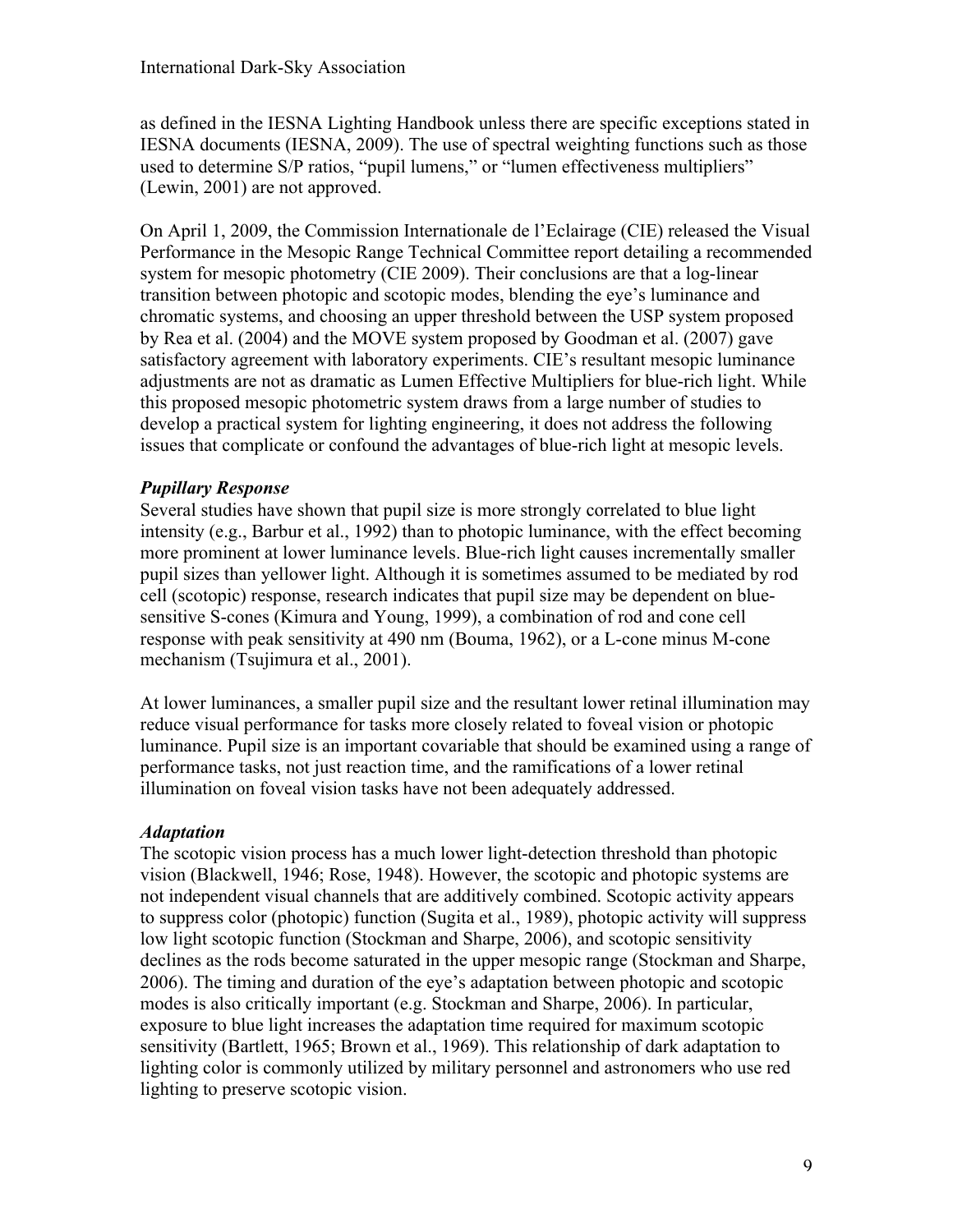as defined in the IESNA Lighting Handbook unless there are specific exceptions stated in IESNA documents (IESNA, 2009). The use of spectral weighting functions such as those used to determine S/P ratios, "pupil lumens," or "lumen effectiveness multipliers" (Lewin, 2001) are not approved.

On April 1, 2009, the Commission Internationale de l'Eclairage (CIE) released the Visual Performance in the Mesopic Range Technical Committee report detailing a recommended system for mesopic photometry (CIE 2009). Their conclusions are that a log-linear transition between photopic and scotopic modes, blending the eye's luminance and chromatic systems, and choosing an upper threshold between the USP system proposed by Rea et al. (2004) and the MOVE system proposed by Goodman et al. (2007) gave satisfactory agreement with laboratory experiments. CIE's resultant mesopic luminance adjustments are not as dramatic as Lumen Effective Multipliers for blue-rich light. While this proposed mesopic photometric system draws from a large number of studies to develop a practical system for lighting engineering, it does not address the following issues that complicate or confound the advantages of blue-rich light at mesopic levels.

## *Pupillary Response*

Several studies have shown that pupil size is more strongly correlated to blue light intensity (e.g., Barbur et al., 1992) than to photopic luminance, with the effect becoming more prominent at lower luminance levels. Blue-rich light causes incrementally smaller pupil sizes than yellower light. Although it is sometimes assumed to be mediated by rod cell (scotopic) response, research indicates that pupil size may be dependent on bluesensitive S-cones (Kimura and Young, 1999), a combination of rod and cone cell response with peak sensitivity at 490 nm (Bouma, 1962), or a L-cone minus M-cone mechanism (Tsujimura et al., 2001).

At lower luminances, a smaller pupil size and the resultant lower retinal illumination may reduce visual performance for tasks more closely related to foveal vision or photopic luminance. Pupil size is an important covariable that should be examined using a range of performance tasks, not just reaction time, and the ramifications of a lower retinal illumination on foveal vision tasks have not been adequately addressed.

#### *Adaptation*

The scotopic vision process has a much lower light-detection threshold than photopic vision (Blackwell, 1946; Rose, 1948). However, the scotopic and photopic systems are not independent visual channels that are additively combined. Scotopic activity appears to suppress color (photopic) function (Sugita et al., 1989), photopic activity will suppress low light scotopic function (Stockman and Sharpe, 2006), and scotopic sensitivity declines as the rods become saturated in the upper mesopic range (Stockman and Sharpe, 2006). The timing and duration of the eye's adaptation between photopic and scotopic modes is also critically important (e.g. Stockman and Sharpe, 2006). In particular, exposure to blue light increases the adaptation time required for maximum scotopic sensitivity (Bartlett, 1965; Brown et al., 1969). This relationship of dark adaptation to lighting color is commonly utilized by military personnel and astronomers who use red lighting to preserve scotopic vision.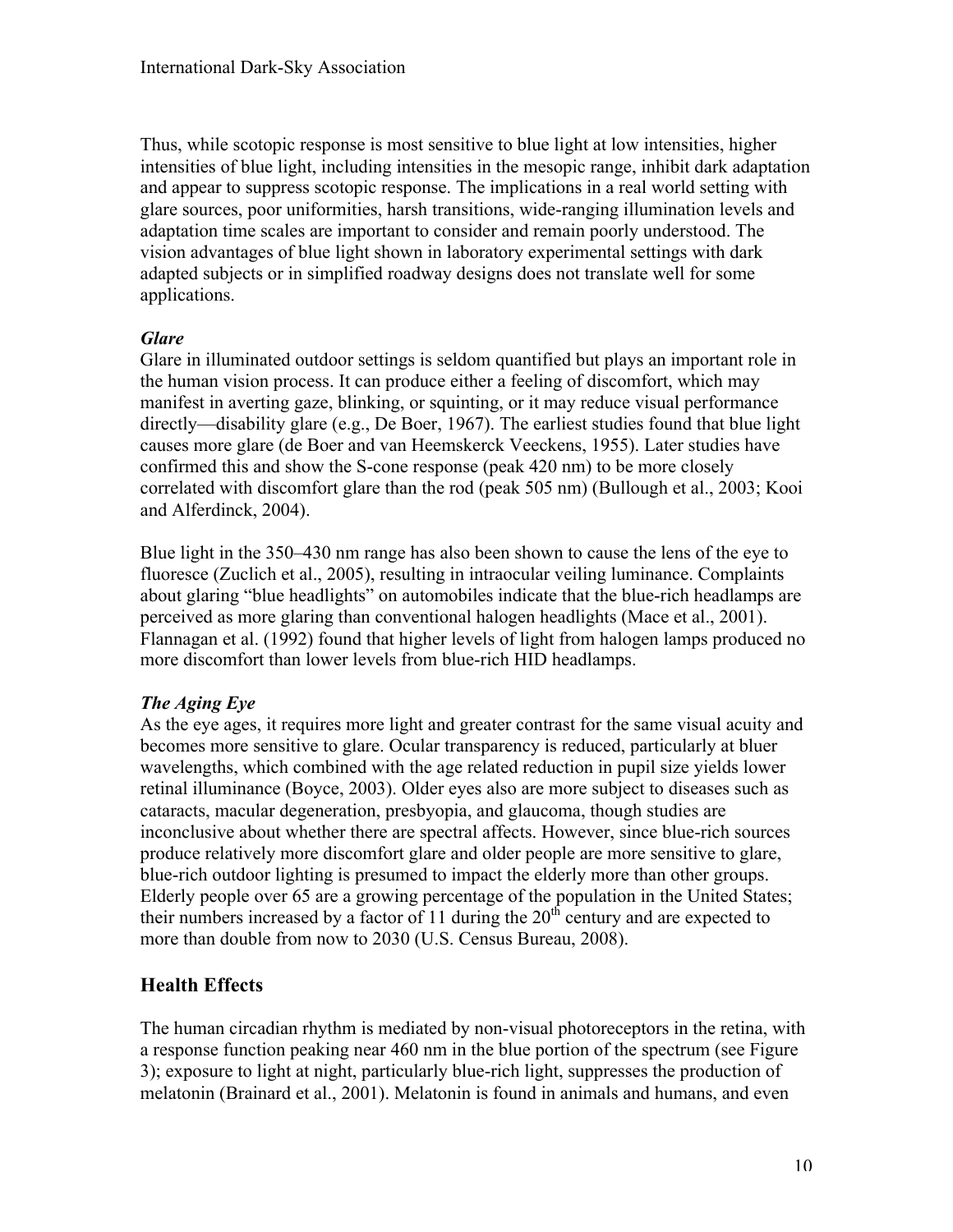Thus, while scotopic response is most sensitive to blue light at low intensities, higher intensities of blue light, including intensities in the mesopic range, inhibit dark adaptation and appear to suppress scotopic response. The implications in a real world setting with glare sources, poor uniformities, harsh transitions, wide-ranging illumination levels and adaptation time scales are important to consider and remain poorly understood. The vision advantages of blue light shown in laboratory experimental settings with dark adapted subjects or in simplified roadway designs does not translate well for some applications.

#### *Glare*

Glare in illuminated outdoor settings is seldom quantified but plays an important role in the human vision process. It can produce either a feeling of discomfort, which may manifest in averting gaze, blinking, or squinting, or it may reduce visual performance directly—disability glare (e.g., De Boer, 1967). The earliest studies found that blue light causes more glare (de Boer and van Heemskerck Veeckens, 1955). Later studies have confirmed this and show the S-cone response (peak 420 nm) to be more closely correlated with discomfort glare than the rod (peak 505 nm) (Bullough et al., 2003; Kooi and Alferdinck, 2004).

Blue light in the 350–430 nm range has also been shown to cause the lens of the eye to fluoresce (Zuclich et al., 2005), resulting in intraocular veiling luminance. Complaints about glaring "blue headlights" on automobiles indicate that the blue-rich headlamps are perceived as more glaring than conventional halogen headlights (Mace et al., 2001). Flannagan et al. (1992) found that higher levels of light from halogen lamps produced no more discomfort than lower levels from blue-rich HID headlamps.

#### *The Aging Eye*

As the eye ages, it requires more light and greater contrast for the same visual acuity and becomes more sensitive to glare. Ocular transparency is reduced, particularly at bluer wavelengths, which combined with the age related reduction in pupil size yields lower retinal illuminance (Boyce, 2003). Older eyes also are more subject to diseases such as cataracts, macular degeneration, presbyopia, and glaucoma, though studies are inconclusive about whether there are spectral affects. However, since blue-rich sources produce relatively more discomfort glare and older people are more sensitive to glare, blue-rich outdoor lighting is presumed to impact the elderly more than other groups. Elderly people over 65 are a growing percentage of the population in the United States; their numbers increased by a factor of 11 during the  $20<sup>th</sup>$  century and are expected to more than double from now to 2030 (U.S. Census Bureau, 2008).

## **Health Effects**

The human circadian rhythm is mediated by non-visual photoreceptors in the retina, with a response function peaking near 460 nm in the blue portion of the spectrum (see Figure 3); exposure to light at night, particularly blue-rich light, suppresses the production of melatonin (Brainard et al., 2001). Melatonin is found in animals and humans, and even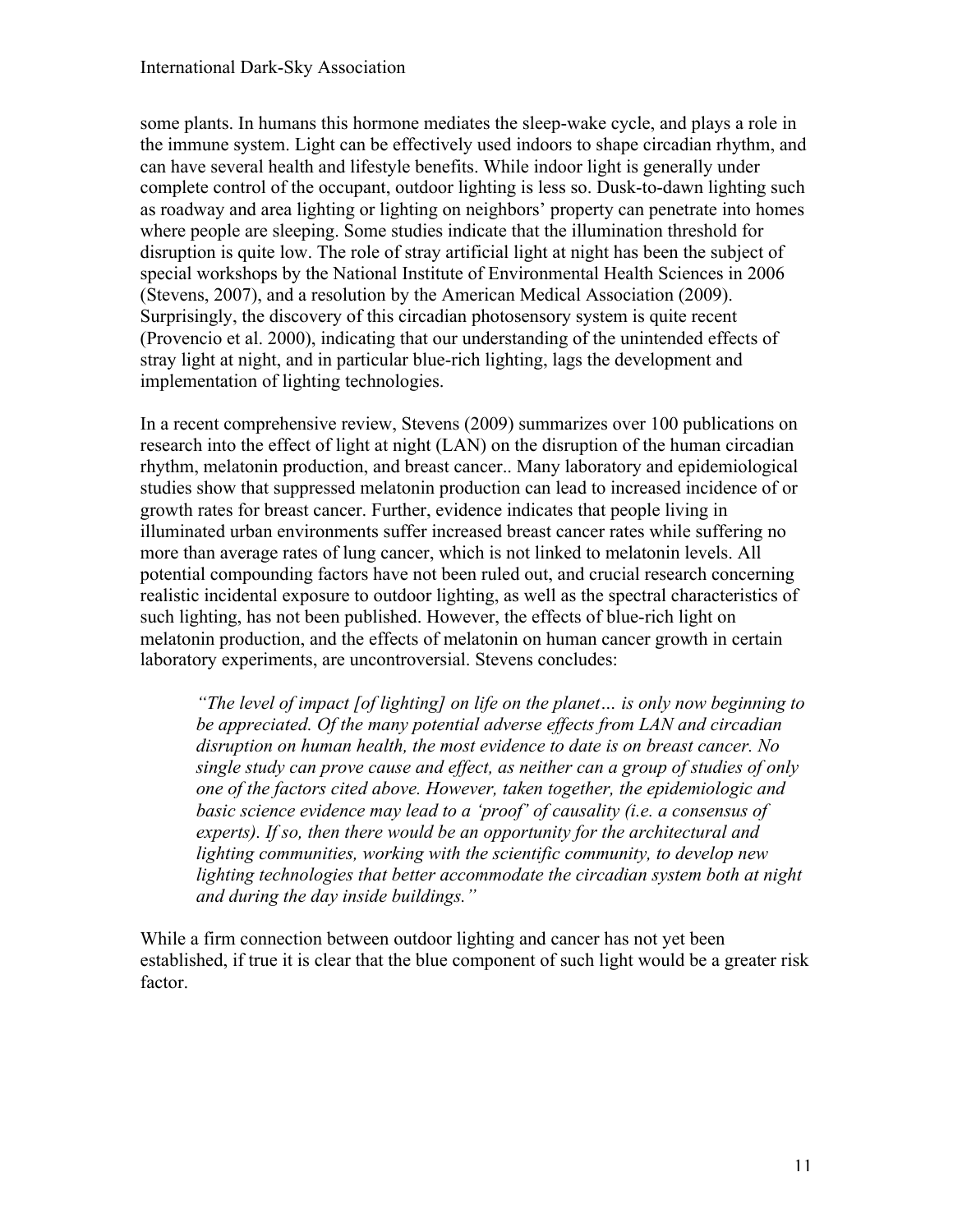some plants. In humans this hormone mediates the sleep-wake cycle, and plays a role in the immune system. Light can be effectively used indoors to shape circadian rhythm, and can have several health and lifestyle benefits. While indoor light is generally under complete control of the occupant, outdoor lighting is less so. Dusk-to-dawn lighting such as roadway and area lighting or lighting on neighbors' property can penetrate into homes where people are sleeping. Some studies indicate that the illumination threshold for disruption is quite low. The role of stray artificial light at night has been the subject of special workshops by the National Institute of Environmental Health Sciences in 2006 (Stevens, 2007), and a resolution by the American Medical Association (2009). Surprisingly, the discovery of this circadian photosensory system is quite recent (Provencio et al. 2000), indicating that our understanding of the unintended effects of stray light at night, and in particular blue-rich lighting, lags the development and implementation of lighting technologies.

In a recent comprehensive review, Stevens (2009) summarizes over 100 publications on research into the effect of light at night (LAN) on the disruption of the human circadian rhythm, melatonin production, and breast cancer.. Many laboratory and epidemiological studies show that suppressed melatonin production can lead to increased incidence of or growth rates for breast cancer. Further, evidence indicates that people living in illuminated urban environments suffer increased breast cancer rates while suffering no more than average rates of lung cancer, which is not linked to melatonin levels. All potential compounding factors have not been ruled out, and crucial research concerning realistic incidental exposure to outdoor lighting, as well as the spectral characteristics of such lighting, has not been published. However, the effects of blue-rich light on melatonin production, and the effects of melatonin on human cancer growth in certain laboratory experiments, are uncontroversial. Stevens concludes:

*"The level of impact [of lighting] on life on the planet… is only now beginning to be appreciated. Of the many potential adverse effects from LAN and circadian disruption on human health, the most evidence to date is on breast cancer. No single study can prove cause and effect, as neither can a group of studies of only one of the factors cited above. However, taken together, the epidemiologic and basic science evidence may lead to a 'proof' of causality (i.e. a consensus of experts). If so, then there would be an opportunity for the architectural and lighting communities, working with the scientific community, to develop new lighting technologies that better accommodate the circadian system both at night and during the day inside buildings."*

While a firm connection between outdoor lighting and cancer has not yet been established, if true it is clear that the blue component of such light would be a greater risk factor.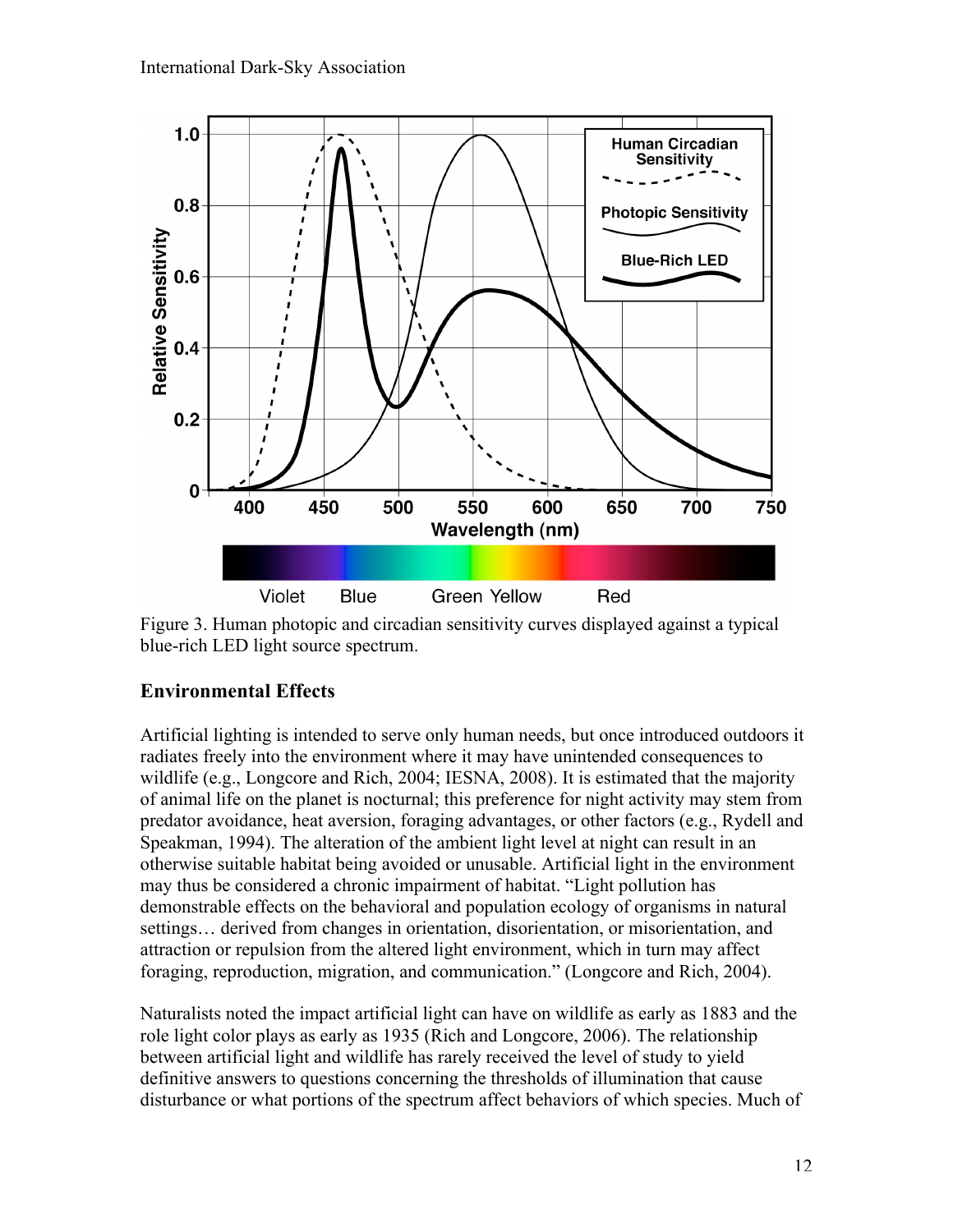

Figure 3. Human photopic and circadian sensitivity curves displayed against a typical blue-rich LED light source spectrum.

## **Environmental Effects**

Artificial lighting is intended to serve only human needs, but once introduced outdoors it radiates freely into the environment where it may have unintended consequences to wildlife (e.g., Longcore and Rich, 2004; IESNA, 2008). It is estimated that the majority of animal life on the planet is nocturnal; this preference for night activity may stem from predator avoidance, heat aversion, foraging advantages, or other factors (e.g., Rydell and Speakman, 1994). The alteration of the ambient light level at night can result in an otherwise suitable habitat being avoided or unusable. Artificial light in the environment may thus be considered a chronic impairment of habitat. "Light pollution has demonstrable effects on the behavioral and population ecology of organisms in natural settings… derived from changes in orientation, disorientation, or misorientation, and attraction or repulsion from the altered light environment, which in turn may affect foraging, reproduction, migration, and communication." (Longcore and Rich, 2004).

Naturalists noted the impact artificial light can have on wildlife as early as 1883 and the role light color plays as early as 1935 (Rich and Longcore, 2006). The relationship between artificial light and wildlife has rarely received the level of study to yield definitive answers to questions concerning the thresholds of illumination that cause disturbance or what portions of the spectrum affect behaviors of which species. Much of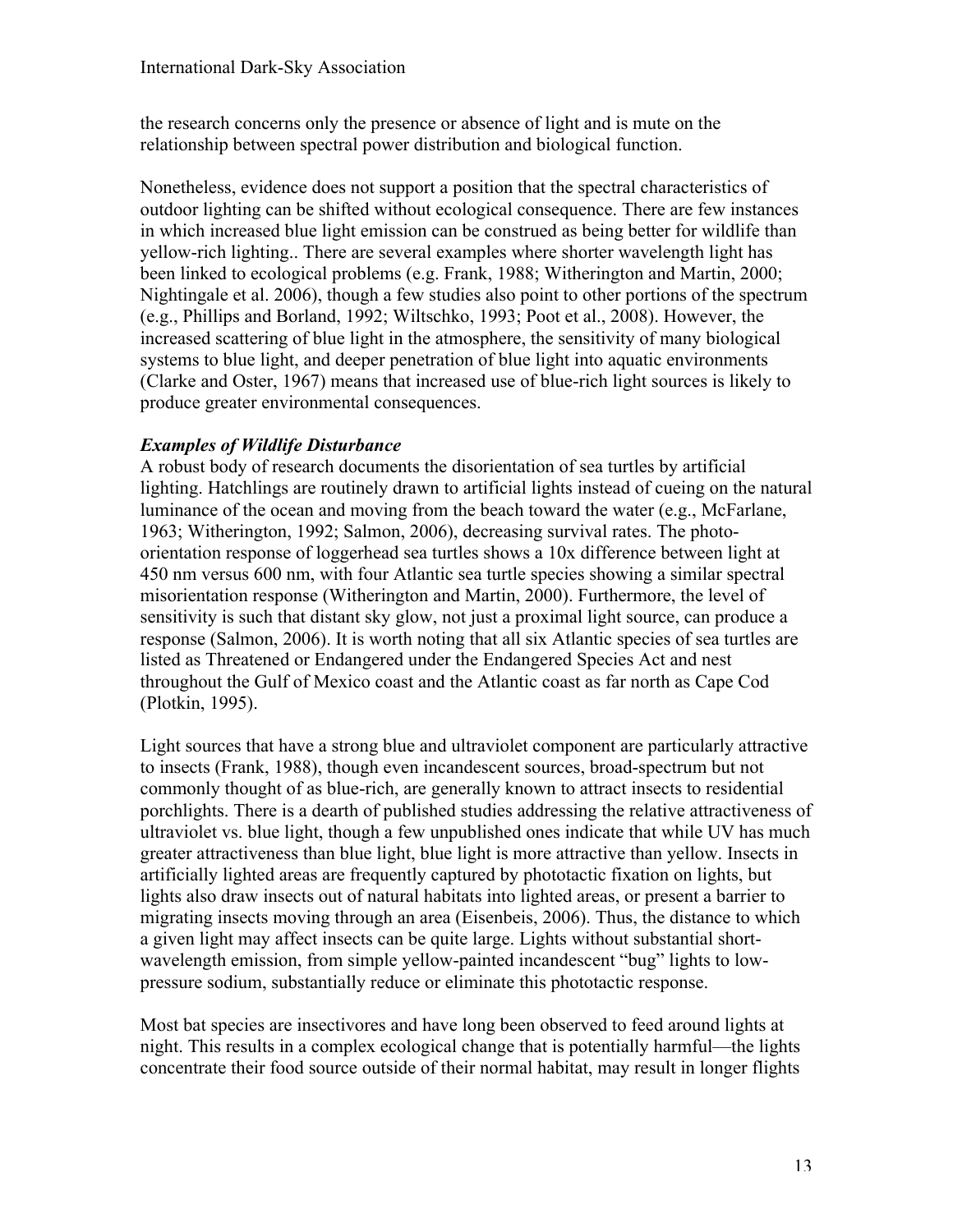the research concerns only the presence or absence of light and is mute on the relationship between spectral power distribution and biological function.

Nonetheless, evidence does not support a position that the spectral characteristics of outdoor lighting can be shifted without ecological consequence. There are few instances in which increased blue light emission can be construed as being better for wildlife than yellow-rich lighting.. There are several examples where shorter wavelength light has been linked to ecological problems (e.g. Frank, 1988; Witherington and Martin, 2000; Nightingale et al. 2006), though a few studies also point to other portions of the spectrum (e.g., Phillips and Borland, 1992; Wiltschko, 1993; Poot et al., 2008). However, the increased scattering of blue light in the atmosphere, the sensitivity of many biological systems to blue light, and deeper penetration of blue light into aquatic environments (Clarke and Oster, 1967) means that increased use of blue-rich light sources is likely to produce greater environmental consequences.

## *Examples of Wildlife Disturbance*

A robust body of research documents the disorientation of sea turtles by artificial lighting. Hatchlings are routinely drawn to artificial lights instead of cueing on the natural luminance of the ocean and moving from the beach toward the water (e.g., McFarlane, 1963; Witherington, 1992; Salmon, 2006), decreasing survival rates. The photoorientation response of loggerhead sea turtles shows a 10x difference between light at 450 nm versus 600 nm, with four Atlantic sea turtle species showing a similar spectral misorientation response (Witherington and Martin, 2000). Furthermore, the level of sensitivity is such that distant sky glow, not just a proximal light source, can produce a response (Salmon, 2006). It is worth noting that all six Atlantic species of sea turtles are listed as Threatened or Endangered under the Endangered Species Act and nest throughout the Gulf of Mexico coast and the Atlantic coast as far north as Cape Cod (Plotkin, 1995).

Light sources that have a strong blue and ultraviolet component are particularly attractive to insects (Frank, 1988), though even incandescent sources, broad-spectrum but not commonly thought of as blue-rich, are generally known to attract insects to residential porchlights. There is a dearth of published studies addressing the relative attractiveness of ultraviolet vs. blue light, though a few unpublished ones indicate that while UV has much greater attractiveness than blue light, blue light is more attractive than yellow. Insects in artificially lighted areas are frequently captured by phototactic fixation on lights, but lights also draw insects out of natural habitats into lighted areas, or present a barrier to migrating insects moving through an area (Eisenbeis, 2006). Thus, the distance to which a given light may affect insects can be quite large. Lights without substantial shortwavelength emission, from simple yellow-painted incandescent "bug" lights to lowpressure sodium, substantially reduce or eliminate this phototactic response.

Most bat species are insectivores and have long been observed to feed around lights at night. This results in a complex ecological change that is potentially harmful—the lights concentrate their food source outside of their normal habitat, may result in longer flights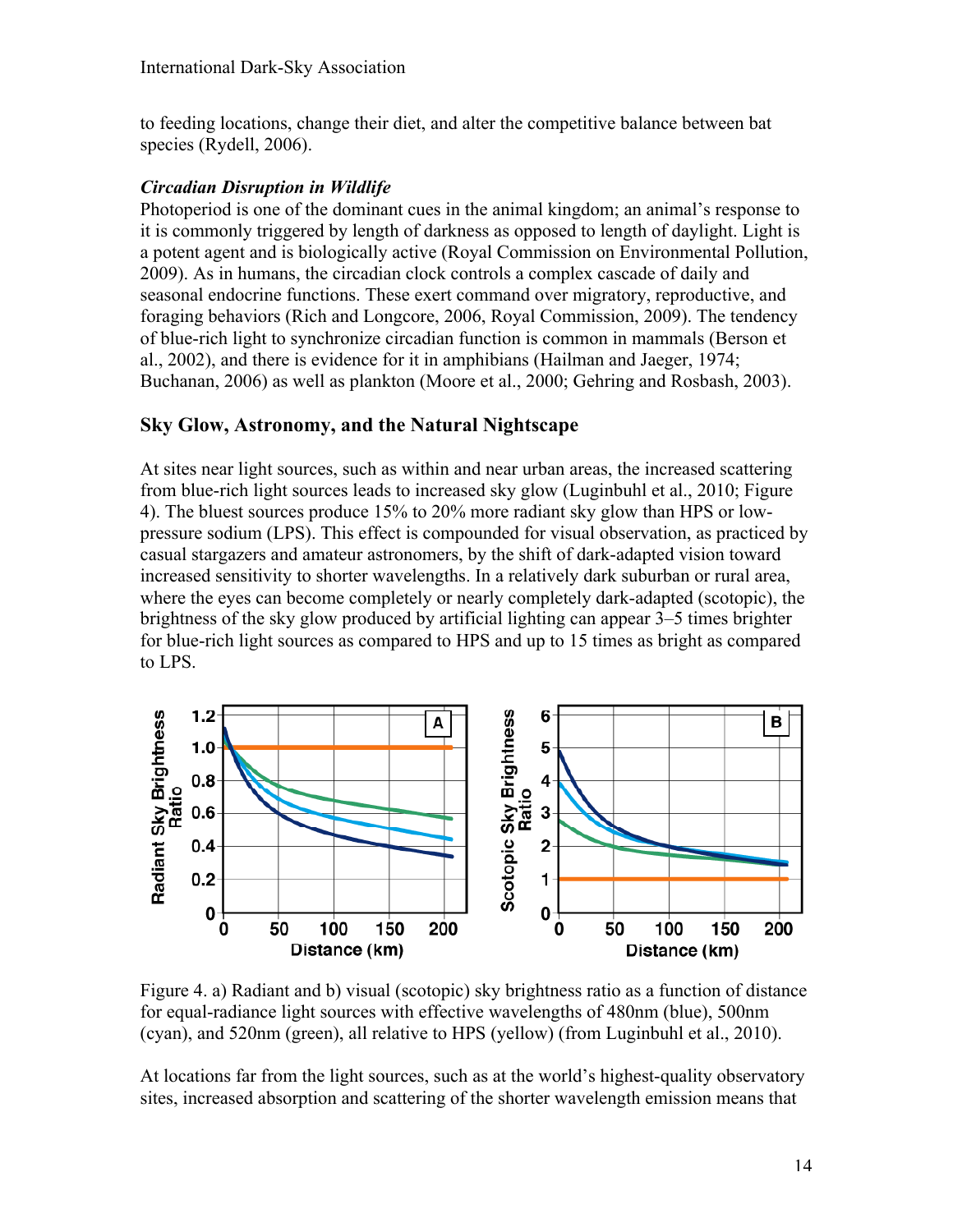to feeding locations, change their diet, and alter the competitive balance between bat species (Rydell, 2006).

#### *Circadian Disruption in Wildlife*

Photoperiod is one of the dominant cues in the animal kingdom; an animal's response to it is commonly triggered by length of darkness as opposed to length of daylight. Light is a potent agent and is biologically active (Royal Commission on Environmental Pollution, 2009). As in humans, the circadian clock controls a complex cascade of daily and seasonal endocrine functions. These exert command over migratory, reproductive, and foraging behaviors (Rich and Longcore, 2006, Royal Commission, 2009). The tendency of blue-rich light to synchronize circadian function is common in mammals (Berson et al., 2002), and there is evidence for it in amphibians (Hailman and Jaeger, 1974; Buchanan, 2006) as well as plankton (Moore et al., 2000; Gehring and Rosbash, 2003).

## **Sky Glow, Astronomy, and the Natural Nightscape**

At sites near light sources, such as within and near urban areas, the increased scattering from blue-rich light sources leads to increased sky glow (Luginbuhl et al., 2010; Figure 4). The bluest sources produce 15% to 20% more radiant sky glow than HPS or lowpressure sodium (LPS). This effect is compounded for visual observation, as practiced by casual stargazers and amateur astronomers, by the shift of dark-adapted vision toward increased sensitivity to shorter wavelengths. In a relatively dark suburban or rural area, where the eyes can become completely or nearly completely dark-adapted (scotopic), the brightness of the sky glow produced by artificial lighting can appear 3–5 times brighter for blue-rich light sources as compared to HPS and up to 15 times as bright as compared to LPS.



Figure 4. a) Radiant and b) visual (scotopic) sky brightness ratio as a function of distance for equal-radiance light sources with effective wavelengths of 480nm (blue), 500nm (cyan), and 520nm (green), all relative to HPS (yellow) (from Luginbuhl et al., 2010).

At locations far from the light sources, such as at the world's highest-quality observatory sites, increased absorption and scattering of the shorter wavelength emission means that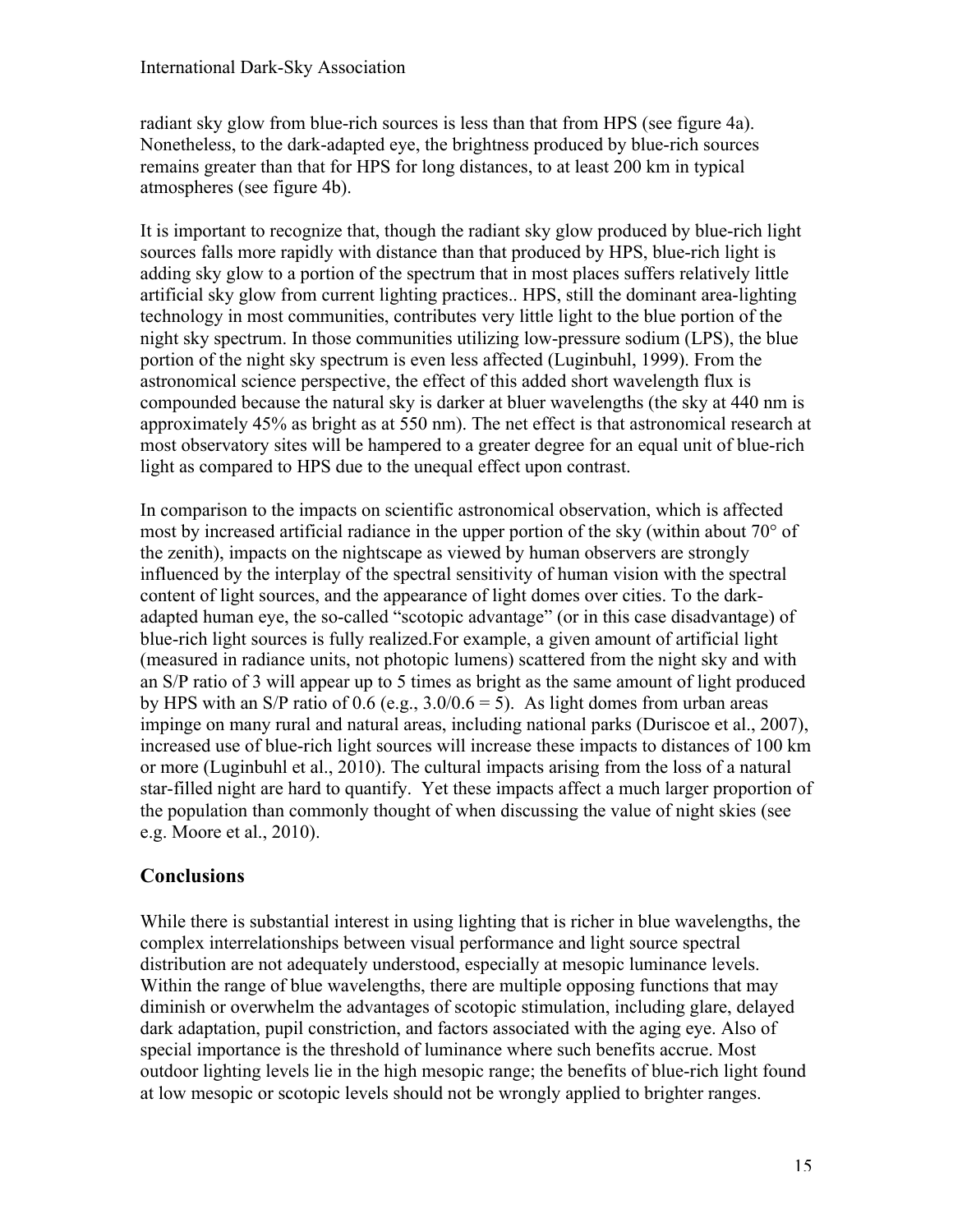radiant sky glow from blue-rich sources is less than that from HPS (see figure 4a). Nonetheless, to the dark-adapted eye, the brightness produced by blue-rich sources remains greater than that for HPS for long distances, to at least 200 km in typical atmospheres (see figure 4b).

It is important to recognize that, though the radiant sky glow produced by blue-rich light sources falls more rapidly with distance than that produced by HPS, blue-rich light is adding sky glow to a portion of the spectrum that in most places suffers relatively little artificial sky glow from current lighting practices.. HPS, still the dominant area-lighting technology in most communities, contributes very little light to the blue portion of the night sky spectrum. In those communities utilizing low-pressure sodium (LPS), the blue portion of the night sky spectrum is even less affected (Luginbuhl, 1999). From the astronomical science perspective, the effect of this added short wavelength flux is compounded because the natural sky is darker at bluer wavelengths (the sky at 440 nm is approximately 45% as bright as at 550 nm). The net effect is that astronomical research at most observatory sites will be hampered to a greater degree for an equal unit of blue-rich light as compared to HPS due to the unequal effect upon contrast.

In comparison to the impacts on scientific astronomical observation, which is affected most by increased artificial radiance in the upper portion of the sky (within about 70° of the zenith), impacts on the nightscape as viewed by human observers are strongly influenced by the interplay of the spectral sensitivity of human vision with the spectral content of light sources, and the appearance of light domes over cities. To the darkadapted human eye, the so-called "scotopic advantage" (or in this case disadvantage) of blue-rich light sources is fully realized.For example, a given amount of artificial light (measured in radiance units, not photopic lumens) scattered from the night sky and with an S/P ratio of 3 will appear up to 5 times as bright as the same amount of light produced by HPS with an S/P ratio of 0.6 (e.g.,  $3.0/0.6 = 5$ ). As light domes from urban areas impinge on many rural and natural areas, including national parks (Duriscoe et al., 2007), increased use of blue-rich light sources will increase these impacts to distances of 100 km or more (Luginbuhl et al., 2010). The cultural impacts arising from the loss of a natural star-filled night are hard to quantify. Yet these impacts affect a much larger proportion of the population than commonly thought of when discussing the value of night skies (see e.g. Moore et al., 2010).

## **Conclusions**

While there is substantial interest in using lighting that is richer in blue wavelengths, the complex interrelationships between visual performance and light source spectral distribution are not adequately understood, especially at mesopic luminance levels. Within the range of blue wavelengths, there are multiple opposing functions that may diminish or overwhelm the advantages of scotopic stimulation, including glare, delayed dark adaptation, pupil constriction, and factors associated with the aging eye. Also of special importance is the threshold of luminance where such benefits accrue. Most outdoor lighting levels lie in the high mesopic range; the benefits of blue-rich light found at low mesopic or scotopic levels should not be wrongly applied to brighter ranges.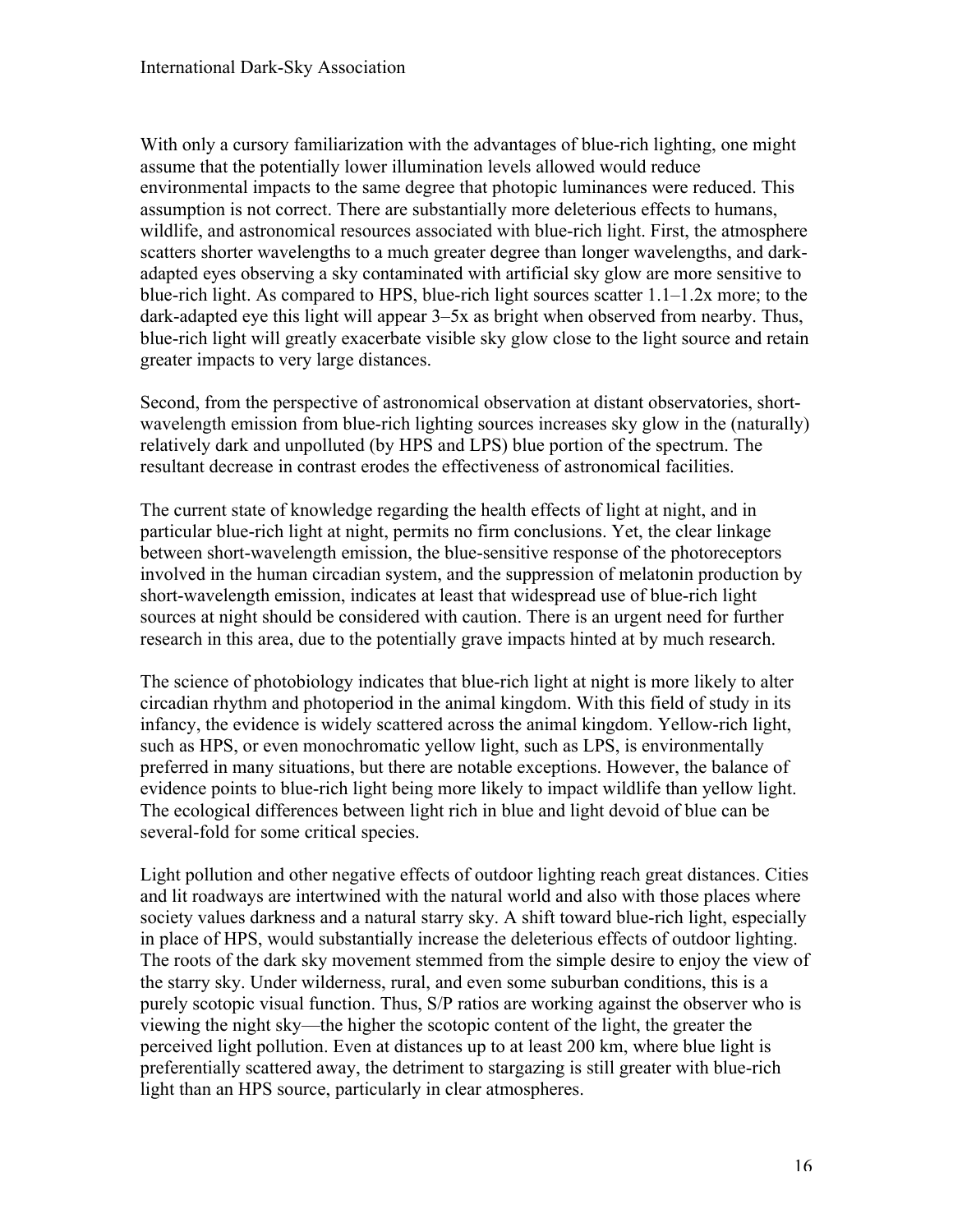With only a cursory familiarization with the advantages of blue-rich lighting, one might assume that the potentially lower illumination levels allowed would reduce environmental impacts to the same degree that photopic luminances were reduced. This assumption is not correct. There are substantially more deleterious effects to humans, wildlife, and astronomical resources associated with blue-rich light. First, the atmosphere scatters shorter wavelengths to a much greater degree than longer wavelengths, and darkadapted eyes observing a sky contaminated with artificial sky glow are more sensitive to blue-rich light. As compared to HPS, blue-rich light sources scatter 1.1–1.2x more; to the dark-adapted eye this light will appear 3–5x as bright when observed from nearby. Thus, blue-rich light will greatly exacerbate visible sky glow close to the light source and retain greater impacts to very large distances.

Second, from the perspective of astronomical observation at distant observatories, shortwavelength emission from blue-rich lighting sources increases sky glow in the (naturally) relatively dark and unpolluted (by HPS and LPS) blue portion of the spectrum. The resultant decrease in contrast erodes the effectiveness of astronomical facilities.

The current state of knowledge regarding the health effects of light at night, and in particular blue-rich light at night, permits no firm conclusions. Yet, the clear linkage between short-wavelength emission, the blue-sensitive response of the photoreceptors involved in the human circadian system, and the suppression of melatonin production by short-wavelength emission, indicates at least that widespread use of blue-rich light sources at night should be considered with caution. There is an urgent need for further research in this area, due to the potentially grave impacts hinted at by much research.

The science of photobiology indicates that blue-rich light at night is more likely to alter circadian rhythm and photoperiod in the animal kingdom. With this field of study in its infancy, the evidence is widely scattered across the animal kingdom. Yellow-rich light, such as HPS, or even monochromatic yellow light, such as LPS, is environmentally preferred in many situations, but there are notable exceptions. However, the balance of evidence points to blue-rich light being more likely to impact wildlife than yellow light. The ecological differences between light rich in blue and light devoid of blue can be several-fold for some critical species.

Light pollution and other negative effects of outdoor lighting reach great distances. Cities and lit roadways are intertwined with the natural world and also with those places where society values darkness and a natural starry sky. A shift toward blue-rich light, especially in place of HPS, would substantially increase the deleterious effects of outdoor lighting. The roots of the dark sky movement stemmed from the simple desire to enjoy the view of the starry sky. Under wilderness, rural, and even some suburban conditions, this is a purely scotopic visual function. Thus, S/P ratios are working against the observer who is viewing the night sky—the higher the scotopic content of the light, the greater the perceived light pollution. Even at distances up to at least 200 km, where blue light is preferentially scattered away, the detriment to stargazing is still greater with blue-rich light than an HPS source, particularly in clear atmospheres.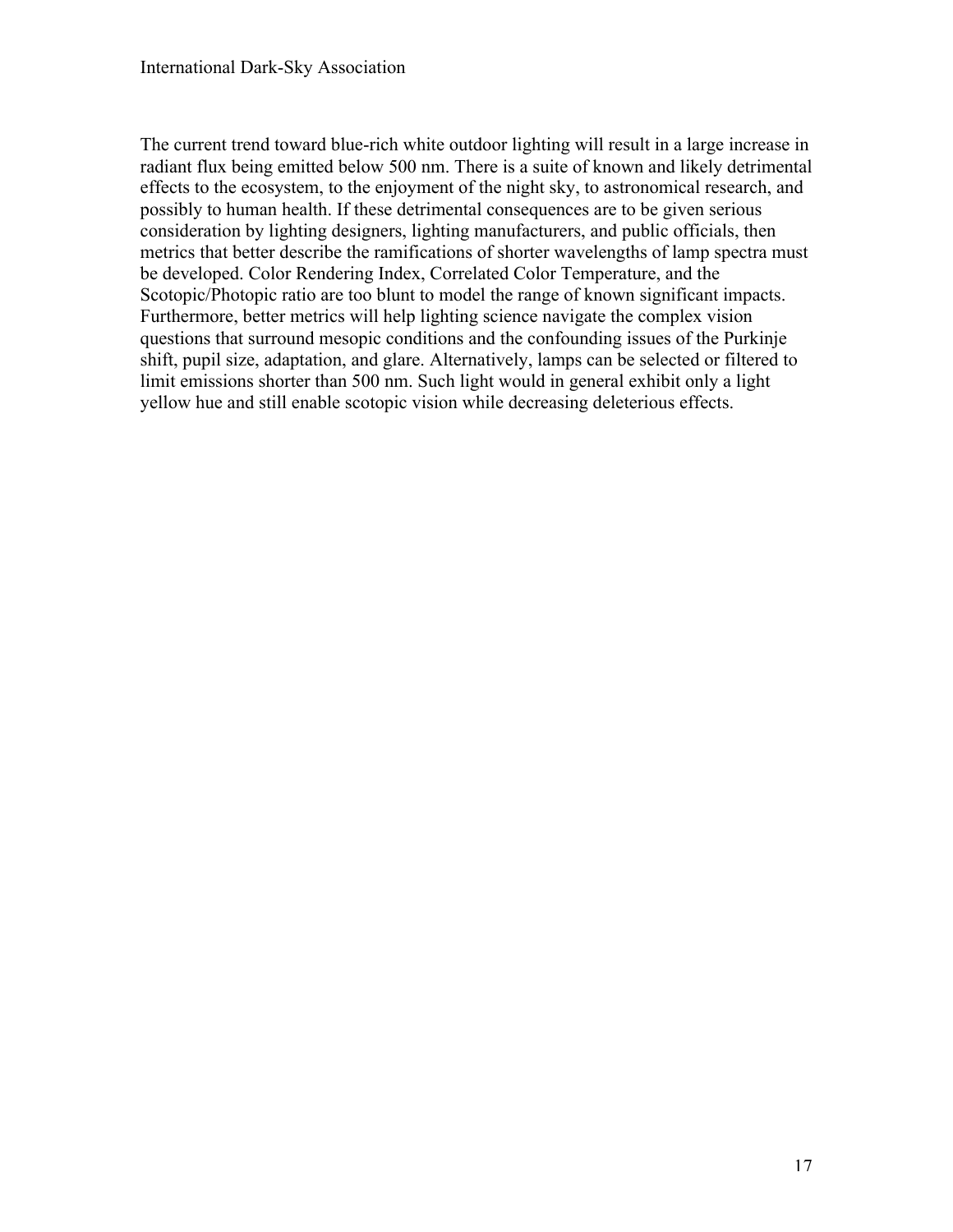The current trend toward blue-rich white outdoor lighting will result in a large increase in radiant flux being emitted below 500 nm. There is a suite of known and likely detrimental effects to the ecosystem, to the enjoyment of the night sky, to astronomical research, and possibly to human health. If these detrimental consequences are to be given serious consideration by lighting designers, lighting manufacturers, and public officials, then metrics that better describe the ramifications of shorter wavelengths of lamp spectra must be developed. Color Rendering Index, Correlated Color Temperature, and the Scotopic/Photopic ratio are too blunt to model the range of known significant impacts. Furthermore, better metrics will help lighting science navigate the complex vision questions that surround mesopic conditions and the confounding issues of the Purkinje shift, pupil size, adaptation, and glare. Alternatively, lamps can be selected or filtered to limit emissions shorter than 500 nm. Such light would in general exhibit only a light yellow hue and still enable scotopic vision while decreasing deleterious effects.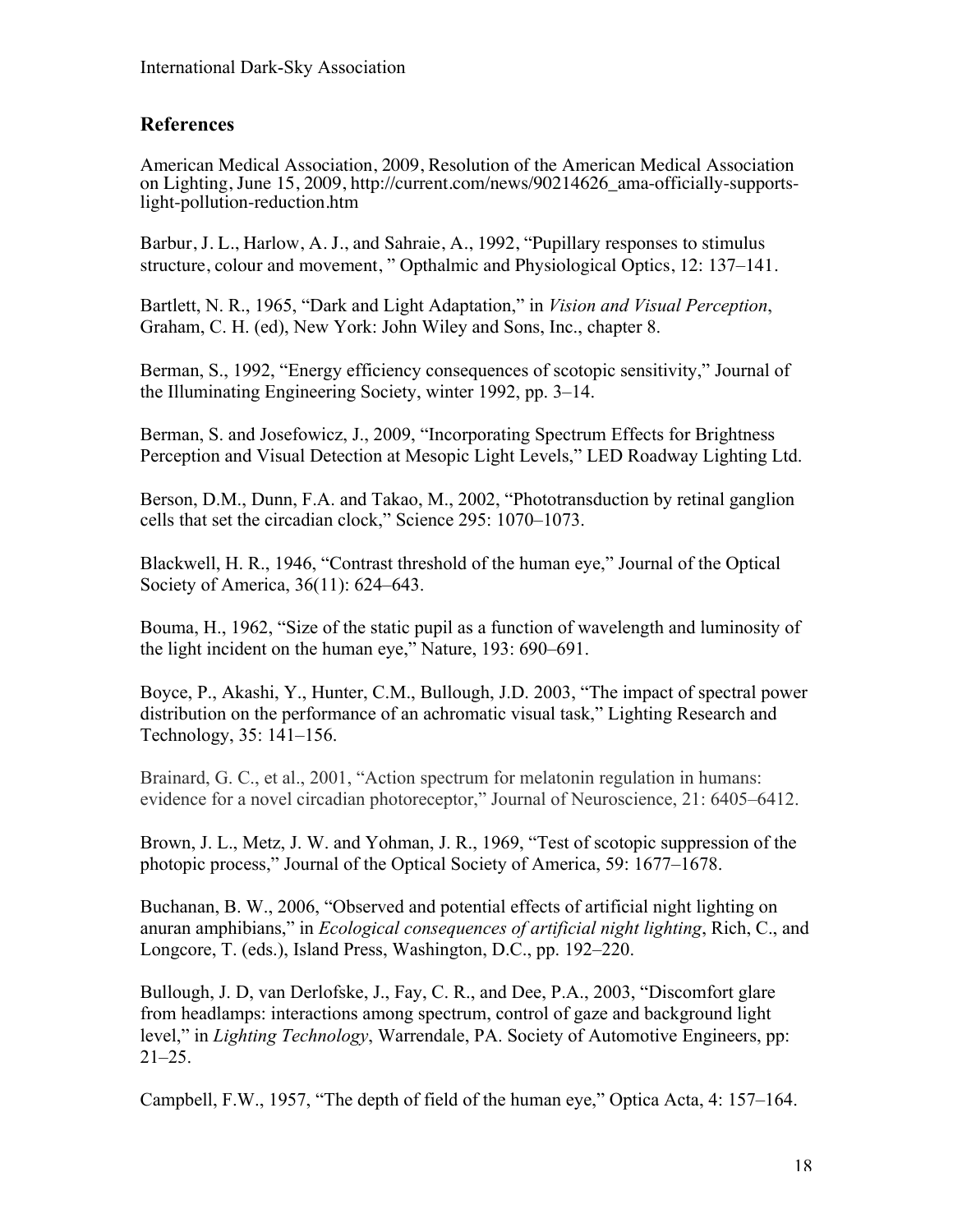## **References**

American Medical Association, 2009, Resolution of the American Medical Association on Lighting, June 15, 2009, http://current.com/news/90214626\_ama-officially-supports- light-pollution-reduction.htm

Barbur, J. L., Harlow, A. J., and Sahraie, A., 1992, "Pupillary responses to stimulus structure, colour and movement, " Opthalmic and Physiological Optics, 12: 137–141.

Bartlett, N. R., 1965, "Dark and Light Adaptation," in *Vision and Visual Perception*, Graham, C. H. (ed), New York: John Wiley and Sons, Inc., chapter 8.

Berman, S., 1992, "Energy efficiency consequences of scotopic sensitivity," Journal of the Illuminating Engineering Society, winter 1992, pp. 3–14.

Berman, S. and Josefowicz, J., 2009, "Incorporating Spectrum Effects for Brightness Perception and Visual Detection at Mesopic Light Levels," LED Roadway Lighting Ltd.

Berson, D.M., Dunn, F.A. and Takao, M., 2002, "Phototransduction by retinal ganglion cells that set the circadian clock," Science 295: 1070–1073.

Blackwell, H. R., 1946, "Contrast threshold of the human eye," Journal of the Optical Society of America, 36(11): 624–643.

Bouma, H., 1962, "Size of the static pupil as a function of wavelength and luminosity of the light incident on the human eye," Nature, 193: 690–691.

Boyce, P., Akashi, Y., Hunter, C.M., Bullough, J.D. 2003, "The impact of spectral power distribution on the performance of an achromatic visual task," Lighting Research and Technology, 35: 141–156.

Brainard, G. C., et al., 2001, "Action spectrum for melatonin regulation in humans: evidence for a novel circadian photoreceptor," Journal of Neuroscience, 21: 6405–6412.

Brown, J. L., Metz, J. W. and Yohman, J. R., 1969, "Test of scotopic suppression of the photopic process," Journal of the Optical Society of America, 59: 1677–1678.

Buchanan, B. W., 2006, "Observed and potential effects of artificial night lighting on anuran amphibians," in *Ecological consequences of artificial night lighting*, Rich, C., and Longcore, T. (eds.), Island Press, Washington, D.C., pp. 192–220.

Bullough, J. D, van Derlofske, J., Fay, C. R., and Dee, P.A., 2003, "Discomfort glare from headlamps: interactions among spectrum, control of gaze and background light level," in *Lighting Technology*, Warrendale, PA. Society of Automotive Engineers, pp: 21–25.

Campbell, F.W., 1957, "The depth of field of the human eye," Optica Acta, 4: 157–164.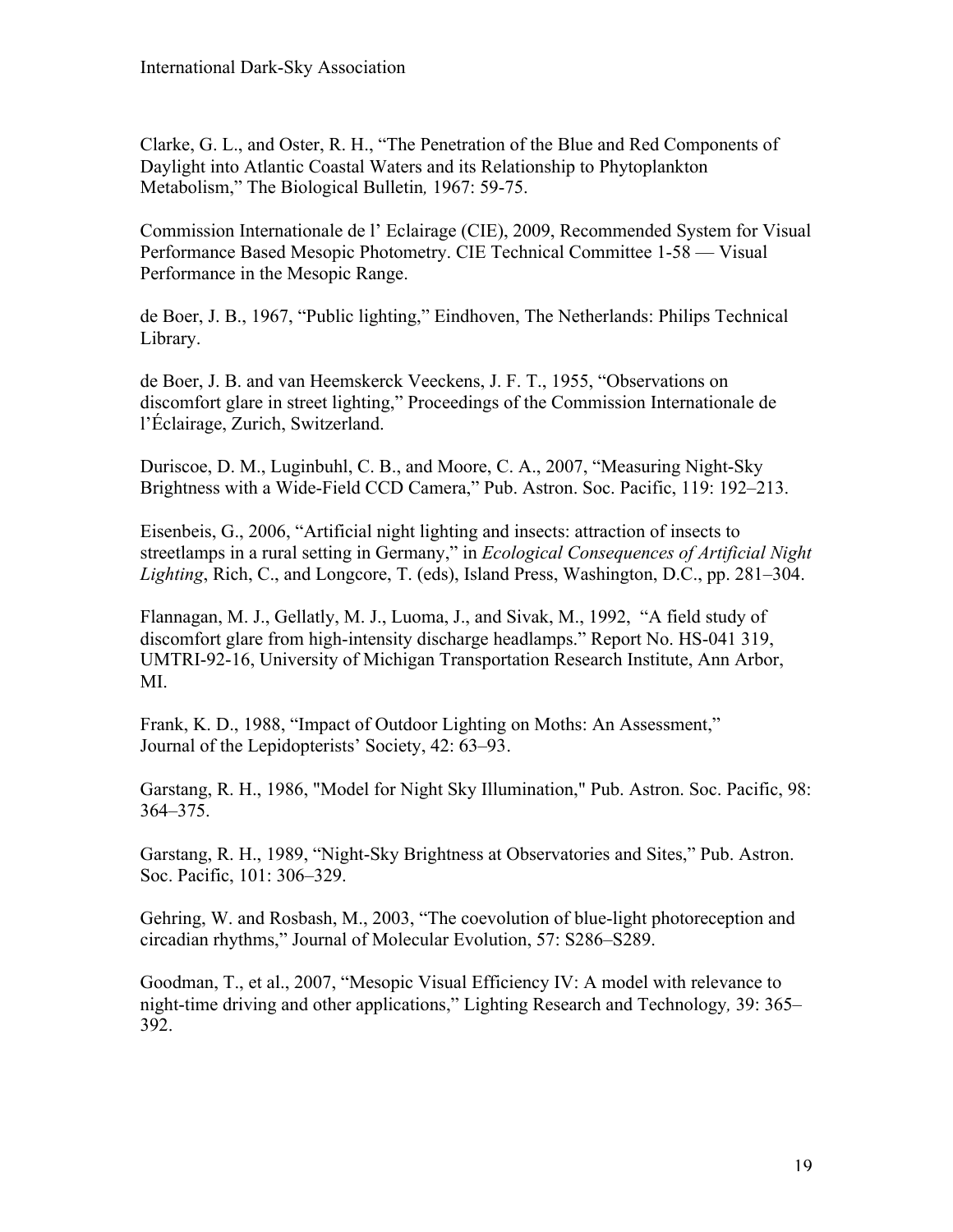Clarke, G. L., and Oster, R. H., "The Penetration of the Blue and Red Components of Daylight into Atlantic Coastal Waters and its Relationship to Phytoplankton Metabolism," The Biological Bulletin*,* 1967: 59-75.

Commission Internationale de l' Eclairage (CIE), 2009, Recommended System for Visual Performance Based Mesopic Photometry. CIE Technical Committee 1-58 — Visual Performance in the Mesopic Range.

de Boer, J. B., 1967, "Public lighting," Eindhoven, The Netherlands: Philips Technical Library.

de Boer, J. B. and van Heemskerck Veeckens, J. F. T., 1955, "Observations on discomfort glare in street lighting," Proceedings of the Commission Internationale de l'Éclairage, Zurich, Switzerland.

Duriscoe, D. M., Luginbuhl, C. B., and Moore, C. A., 2007, "Measuring Night-Sky Brightness with a Wide-Field CCD Camera," Pub. Astron. Soc. Pacific, 119: 192–213.

Eisenbeis, G., 2006, "Artificial night lighting and insects: attraction of insects to streetlamps in a rural setting in Germany," in *Ecological Consequences of Artificial Night Lighting*, Rich, C., and Longcore, T. (eds), Island Press, Washington, D.C., pp. 281–304.

Flannagan, M. J., Gellatly, M. J., Luoma, J., and Sivak, M., 1992, "A field study of discomfort glare from high-intensity discharge headlamps." Report No. HS-041 319, UMTRI-92-16, University of Michigan Transportation Research Institute, Ann Arbor, MI.

Frank, K. D., 1988, "Impact of Outdoor Lighting on Moths: An Assessment," Journal of the Lepidopterists' Society, 42: 63–93.

Garstang, R. H., 1986, "Model for Night Sky Illumination," Pub. Astron. Soc. Pacific, 98: 364–375.

Garstang, R. H., 1989, "Night-Sky Brightness at Observatories and Sites," Pub. Astron. Soc. Pacific, 101: 306–329.

Gehring, W. and Rosbash, M., 2003, "The coevolution of blue-light photoreception and circadian rhythms," Journal of Molecular Evolution, 57: S286–S289.

Goodman, T., et al., 2007, "Mesopic Visual Efficiency IV: A model with relevance to night-time driving and other applications," Lighting Research and Technology*,* 39: 365– 392.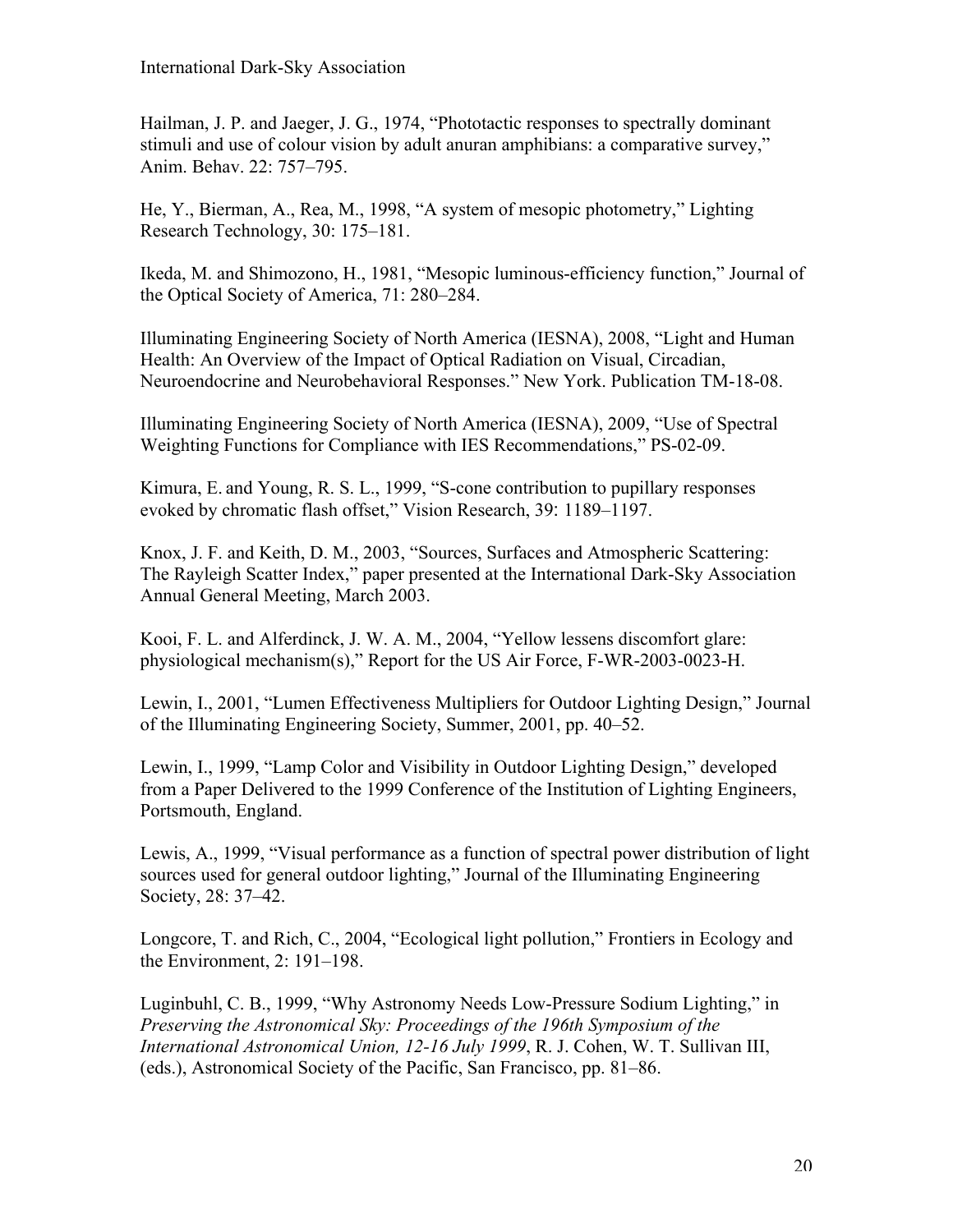Hailman, J. P. and Jaeger, J. G., 1974, "Phototactic responses to spectrally dominant stimuli and use of colour vision by adult anuran amphibians: a comparative survey," Anim. Behav. 22: 757–795.

He, Y., Bierman, A., Rea, M., 1998, "A system of mesopic photometry," Lighting Research Technology, 30: 175–181.

Ikeda, M. and Shimozono, H., 1981, "Mesopic luminous-efficiency function," Journal of the Optical Society of America, 71: 280–284.

Illuminating Engineering Society of North America (IESNA), 2008, "Light and Human Health: An Overview of the Impact of Optical Radiation on Visual, Circadian, Neuroendocrine and Neurobehavioral Responses." New York. Publication TM-18-08.

Illuminating Engineering Society of North America (IESNA), 2009, "Use of Spectral Weighting Functions for Compliance with IES Recommendations," PS-02-09.

Kimura, E. and Young, R. S. L., 1999, "S-cone contribution to pupillary responses evoked by chromatic flash offset," Vision Research, 39: 1189–1197.

Knox, J. F. and Keith, D. M., 2003, "Sources, Surfaces and Atmospheric Scattering: The Rayleigh Scatter Index," paper presented at the International Dark-Sky Association Annual General Meeting, March 2003.

Kooi, F. L. and Alferdinck, J. W. A. M., 2004, "Yellow lessens discomfort glare: physiological mechanism(s)," Report for the US Air Force, F-WR-2003-0023-H.

Lewin, I., 2001, "Lumen Effectiveness Multipliers for Outdoor Lighting Design," Journal of the Illuminating Engineering Society, Summer, 2001, pp. 40–52.

Lewin, I., 1999, "Lamp Color and Visibility in Outdoor Lighting Design," developed from a Paper Delivered to the 1999 Conference of the Institution of Lighting Engineers, Portsmouth, England.

Lewis, A., 1999, "Visual performance as a function of spectral power distribution of light sources used for general outdoor lighting," Journal of the Illuminating Engineering Society, 28: 37–42.

Longcore, T. and Rich, C., 2004, "Ecological light pollution," Frontiers in Ecology and the Environment, 2: 191–198.

Luginbuhl, C. B., 1999, "Why Astronomy Needs Low-Pressure Sodium Lighting," in *Preserving the Astronomical Sky: Proceedings of the 196th Symposium of the International Astronomical Union, 12-16 July 1999*, R. J. Cohen, W. T. Sullivan III, (eds.), Astronomical Society of the Pacific, San Francisco, pp. 81–86.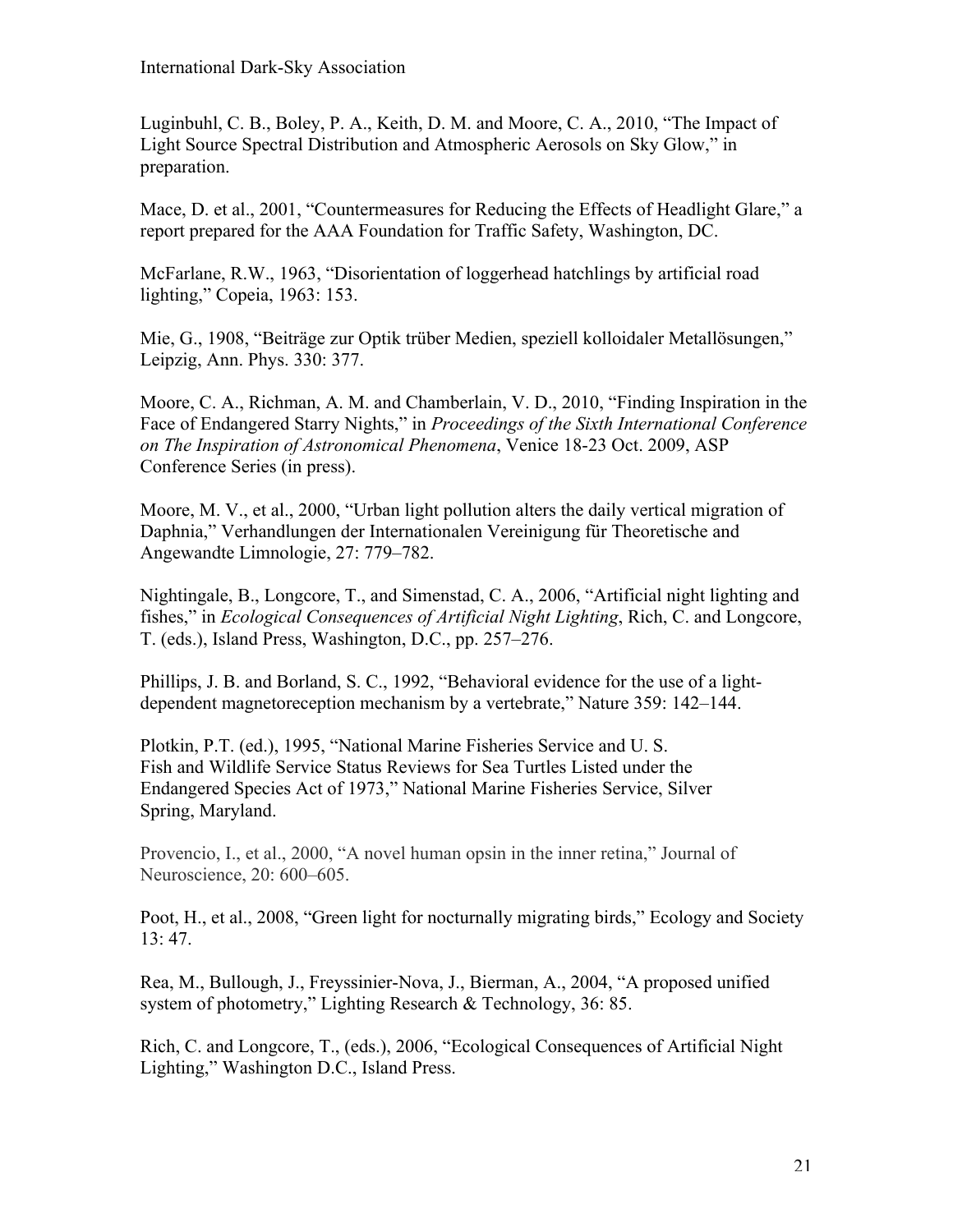Luginbuhl, C. B., Boley, P. A., Keith, D. M. and Moore, C. A., 2010, "The Impact of Light Source Spectral Distribution and Atmospheric Aerosols on Sky Glow," in preparation.

Mace, D. et al., 2001, "Countermeasures for Reducing the Effects of Headlight Glare," a report prepared for the AAA Foundation for Traffic Safety, Washington, DC.

McFarlane, R.W., 1963, "Disorientation of loggerhead hatchlings by artificial road lighting," Copeia, 1963: 153.

Mie, G., 1908, "Beiträge zur Optik trüber Medien, speziell kolloidaler Metallösungen," Leipzig, Ann. Phys. 330: 377.

Moore, C. A., Richman, A. M. and Chamberlain, V. D., 2010, "Finding Inspiration in the Face of Endangered Starry Nights," in *Proceedings of the Sixth International Conference on The Inspiration of Astronomical Phenomena*, Venice 18-23 Oct. 2009, ASP Conference Series (in press).

Moore, M. V., et al., 2000, "Urban light pollution alters the daily vertical migration of Daphnia," Verhandlungen der Internationalen Vereinigung für Theoretische and Angewandte Limnologie, 27: 779–782.

Nightingale, B., Longcore, T., and Simenstad, C. A., 2006, "Artificial night lighting and fishes," in *Ecological Consequences of Artificial Night Lighting*, Rich, C. and Longcore, T. (eds.), Island Press, Washington, D.C., pp. 257–276.

Phillips, J. B. and Borland, S. C., 1992, "Behavioral evidence for the use of a lightdependent magnetoreception mechanism by a vertebrate," Nature 359: 142–144.

Plotkin, P.T. (ed.), 1995, "National Marine Fisheries Service and U. S. Fish and Wildlife Service Status Reviews for Sea Turtles Listed under the Endangered Species Act of 1973," National Marine Fisheries Service, Silver Spring, Maryland.

Provencio, I., et al., 2000, "A novel human opsin in the inner retina," Journal of Neuroscience, 20: 600–605.

Poot, H., et al., 2008, "Green light for nocturnally migrating birds," Ecology and Society 13: 47.

Rea, M., Bullough, J., Freyssinier-Nova, J., Bierman, A., 2004, "A proposed unified system of photometry," Lighting Research & Technology, 36: 85.

Rich, C. and Longcore, T., (eds.), 2006, "Ecological Consequences of Artificial Night Lighting," Washington D.C., Island Press.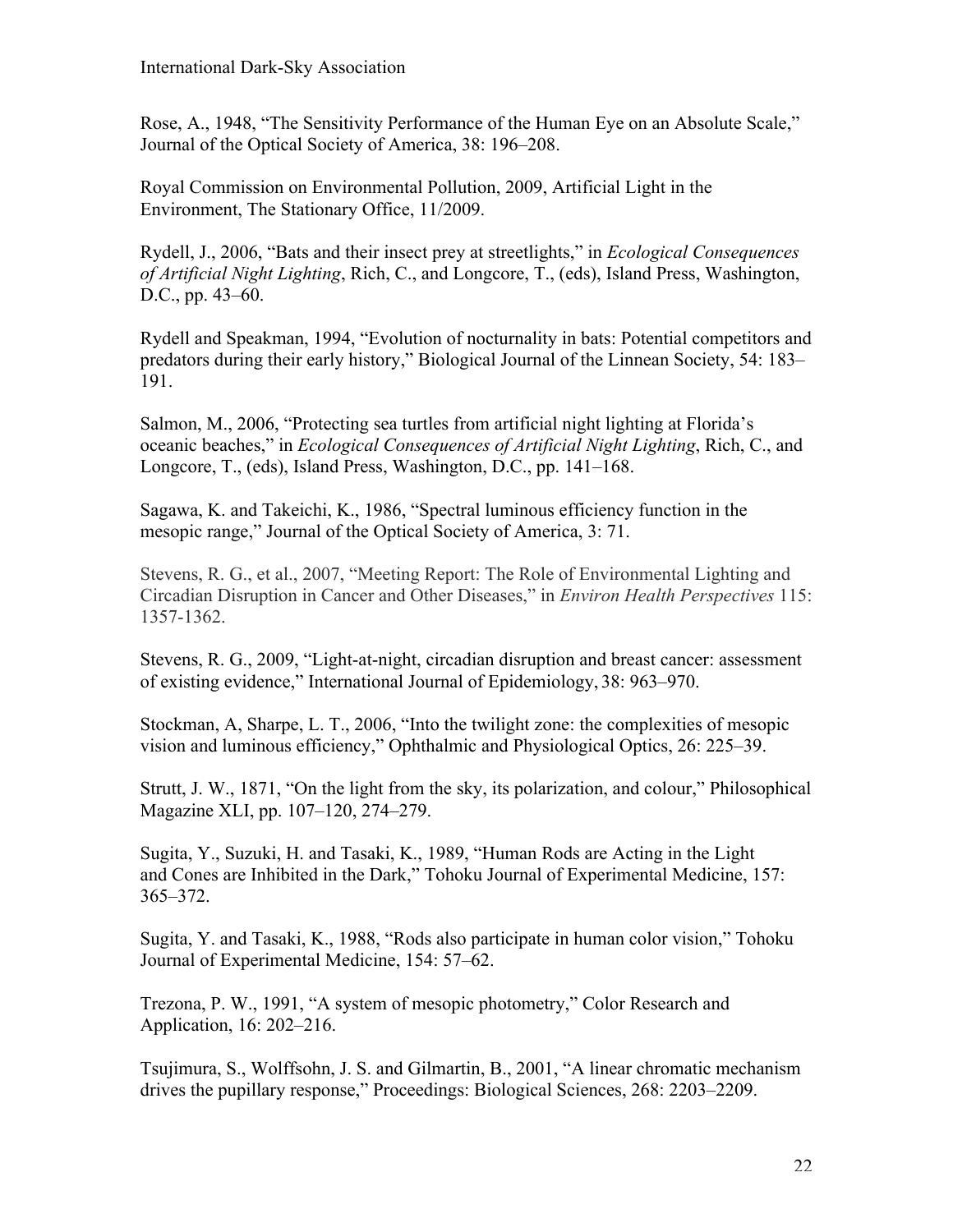Rose, A., 1948, "The Sensitivity Performance of the Human Eye on an Absolute Scale," Journal of the Optical Society of America, 38: 196–208.

Royal Commission on Environmental Pollution, 2009, Artificial Light in the Environment, The Stationary Office, 11/2009.

Rydell, J., 2006, "Bats and their insect prey at streetlights," in *Ecological Consequences of Artificial Night Lighting*, Rich, C., and Longcore, T., (eds), Island Press, Washington, D.C., pp. 43–60.

Rydell and Speakman, 1994, "Evolution of nocturnality in bats: Potential competitors and predators during their early history," Biological Journal of the Linnean Society, 54: 183– 191.

Salmon, M., 2006, "Protecting sea turtles from artificial night lighting at Florida's oceanic beaches," in *Ecological Consequences of Artificial Night Lighting*, Rich, C., and Longcore, T., (eds), Island Press, Washington, D.C., pp. 141–168.

Sagawa, K. and Takeichi, K., 1986, "Spectral luminous efficiency function in the mesopic range," Journal of the Optical Society of America, 3: 71.

Stevens, R. G., et al., 2007, "Meeting Report: The Role of Environmental Lighting and Circadian Disruption in Cancer and Other Diseases," in *Environ Health Perspectives* 115: 1357-1362.

Stevens, R. G., 2009, "Light-at-night, circadian disruption and breast cancer: assessment of existing evidence," International Journal of Epidemiology, 38: 963–970.

Stockman, A, Sharpe, L. T., 2006, "Into the twilight zone: the complexities of mesopic vision and luminous efficiency," Ophthalmic and Physiological Optics, 26: 225–39.

Strutt, J. W., 1871, "On the light from the sky, its polarization, and colour," Philosophical Magazine XLI, pp. 107–120, 274–279.

Sugita, Y., Suzuki, H. and Tasaki, K., 1989, "Human Rods are Acting in the Light and Cones are Inhibited in the Dark," Tohoku Journal of Experimental Medicine, 157: 365–372.

Sugita, Y. and Tasaki, K., 1988, "Rods also participate in human color vision," Tohoku Journal of Experimental Medicine, 154: 57–62.

Trezona, P. W., 1991, "A system of mesopic photometry," Color Research and Application, 16: 202–216.

Tsujimura, S., Wolffsohn, J. S. and Gilmartin, B., 2001, "A linear chromatic mechanism drives the pupillary response," Proceedings: Biological Sciences, 268: 2203–2209.